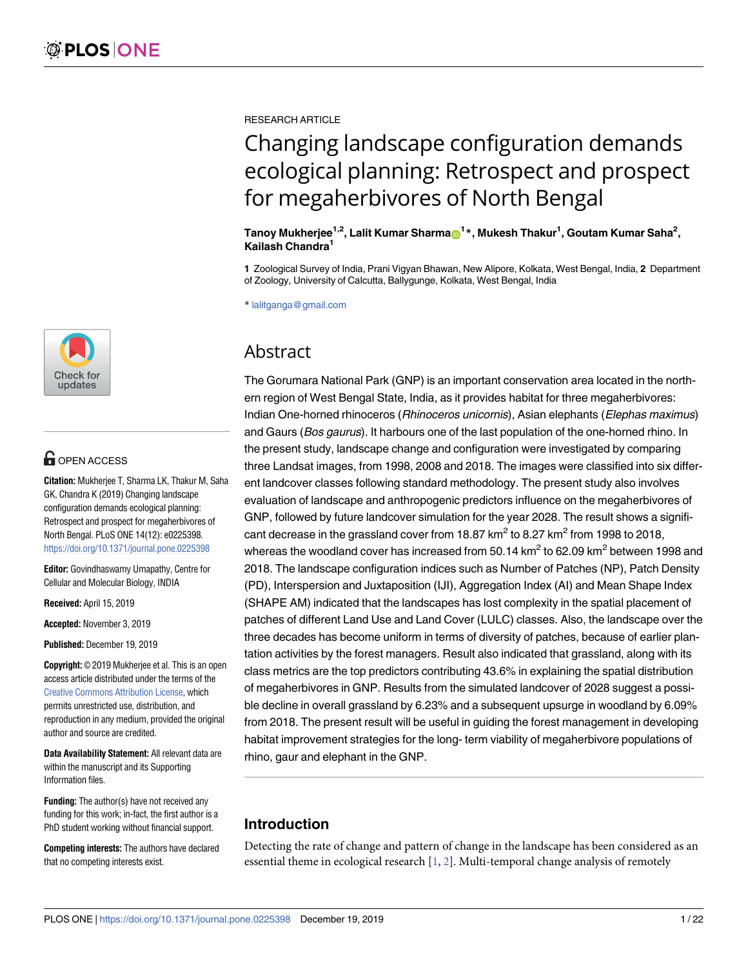

# **OPEN ACCESS**

**Citation:** Mukherjee T, Sharma LK, Thakur M, Saha GK, Chandra K (2019) Changing landscape configuration demands ecological planning: Retrospect and prospect for megaherbivores of North Bengal. PLoS ONE 14(12): e0225398. <https://doi.org/10.1371/journal.pone.0225398>

**Editor:** Govindhaswamy Umapathy, Centre for Cellular and Molecular Biology, INDIA

**Received:** April 15, 2019

**Accepted:** November 3, 2019

**Published:** December 19, 2019

**Copyright:** © 2019 Mukherjee et al. This is an open access article distributed under the terms of the [Creative Commons Attribution License,](http://creativecommons.org/licenses/by/4.0/) which permits unrestricted use, distribution, and reproduction in any medium, provided the original author and source are credited.

**Data Availability Statement:** All relevant data are within the manuscript and its Supporting Information files.

**Funding:** The author(s) have not received any funding for this work; in-fact, the first author is a PhD student working without financial support.

**Competing interests:** The authors have declared that no competing interests exist.

<span id="page-0-0"></span>RESEARCH ARTICLE

# Changing landscape configuration demands ecological planning: Retrospect and prospect for megaherbivores of North Bengal

 $\mathbf{T}$ anoy Mukherjee $^{1,2}$ , Lalit Kumar Sharma $\mathbf{\Theta}^\mathbf{1}{}^*$ , Mukesh Thakur $^{1}$ , Goutam Kumar Saha $^{2}$ , **Kailash Chandra<sup>1</sup>**

**1** Zoological Survey of India, Prani Vigyan Bhawan, New Alipore, Kolkata, West Bengal, India, **2** Department of Zoology, University of Calcutta, Ballygunge, Kolkata, West Bengal, India

\* lalitganga@gmail.com

# Abstract

The Gorumara National Park (GNP) is an important conservation area located in the northern region of West Bengal State, India, as it provides habitat for three megaherbivores: Indian One-horned rhinoceros (Rhinoceros unicornis), Asian elephants (Elephas maximus) and Gaurs (Bos gaurus). It harbours one of the last population of the one-horned rhino. In the present study, landscape change and configuration were investigated by comparing three Landsat images, from 1998, 2008 and 2018. The images were classified into six different landcover classes following standard methodology. The present study also involves evaluation of landscape and anthropogenic predictors influence on the megaherbivores of GNP, followed by future landcover simulation for the year 2028. The result shows a significant decrease in the grassland cover from 18.87 km<sup>2</sup> to 8.27 km<sup>2</sup> from 1998 to 2018, whereas the woodland cover has increased from 50.14 km $^2$  to 62.09 km $^2$  between 1998 and 2018. The landscape configuration indices such as Number of Patches (NP), Patch Density (PD), Interspersion and Juxtaposition (IJI), Aggregation Index (AI) and Mean Shape Index (SHAPE AM) indicated that the landscapes has lost complexity in the spatial placement of patches of different Land Use and Land Cover (LULC) classes. Also, the landscape over the three decades has become uniform in terms of diversity of patches, because of earlier plantation activities by the forest managers. Result also indicated that grassland, along with its class metrics are the top predictors contributing 43.6% in explaining the spatial distribution of megaherbivores in GNP. Results from the simulated landcover of 2028 suggest a possible decline in overall grassland by 6.23% and a subsequent upsurge in woodland by 6.09% from 2018. The present result will be useful in guiding the forest management in developing habitat improvement strategies for the long- term viability of megaherbivore populations of rhino, gaur and elephant in the GNP.

# **Introduction**

Detecting the rate of change and pattern of change in the landscape has been considered as an essential theme in ecological research  $[1, 2]$  $[1, 2]$  $[1, 2]$  $[1, 2]$ . Multi-temporal change analysis of remotely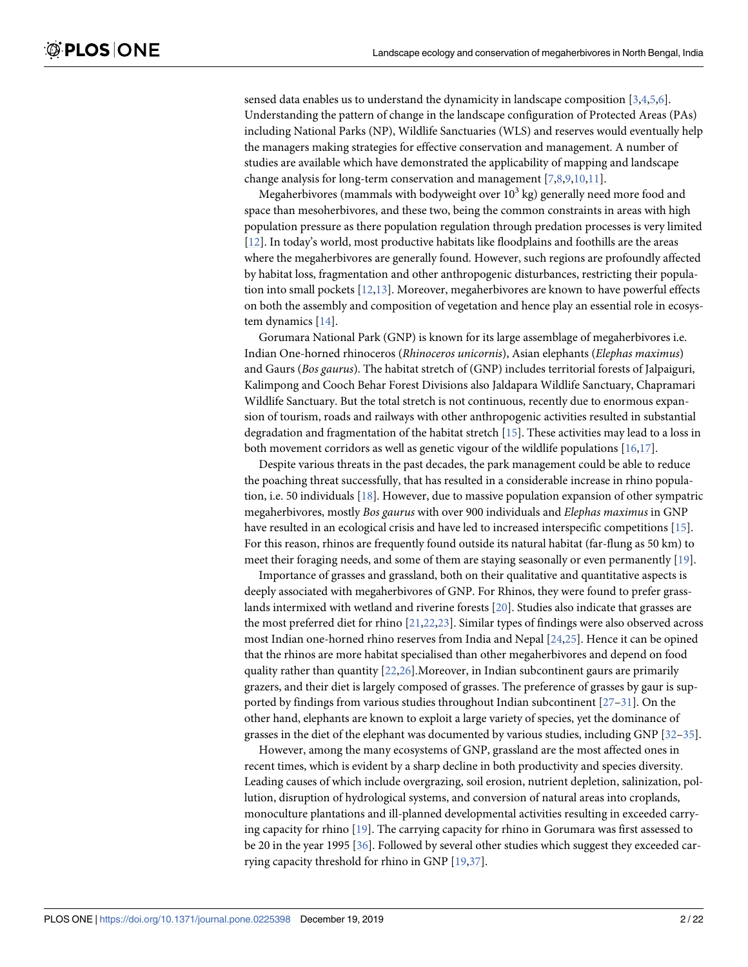<span id="page-1-0"></span>sensed data enables us to understand the dynamicity in landscape composition [\[3,4,](#page-16-0)[5,6\]](#page-17-0). Understanding the pattern of change in the landscape configuration of Protected Areas (PAs) including National Parks (NP), Wildlife Sanctuaries (WLS) and reserves would eventually help the managers making strategies for effective conservation and management. A number of studies are available which have demonstrated the applicability of mapping and landscape change analysis for long-term conservation and management [[7](#page-17-0),[8,9,10](#page-17-0),[11](#page-17-0)].

Megaherbivores (mammals with bodyweight over  $10^3$  kg) generally need more food and space than mesoherbivores, and these two, being the common constraints in areas with high population pressure as there population regulation through predation processes is very limited [\[12\]](#page-17-0). In today's world, most productive habitats like floodplains and foothills are the areas where the megaherbivores are generally found. However, such regions are profoundly affected by habitat loss, fragmentation and other anthropogenic disturbances, restricting their population into small pockets [[12](#page-17-0),[13](#page-17-0)]. Moreover, megaherbivores are known to have powerful effects on both the assembly and composition of vegetation and hence play an essential role in ecosystem dynamics  $[14]$  $[14]$  $[14]$ .

Gorumara National Park (GNP) is known for its large assemblage of megaherbivores i.e. Indian One-horned rhinoceros (Rhinoceros unicornis), Asian elephants (Elephas maximus) and Gaurs (Bos gaurus). The habitat stretch of (GNP) includes territorial forests of Jalpaiguri, Kalimpong and Cooch Behar Forest Divisions also Jaldapara Wildlife Sanctuary, Chapramari Wildlife Sanctuary. But the total stretch is not continuous, recently due to enormous expansion of tourism, roads and railways with other anthropogenic activities resulted in substantial degradation and fragmentation of the habitat stretch [\[15\]](#page-17-0). These activities may lead to a loss in both movement corridors as well as genetic vigour of the wildlife populations  $[16,17]$  $[16,17]$  $[16,17]$  $[16,17]$  $[16,17]$ .

Despite various threats in the past decades, the park management could be able to reduce the poaching threat successfully, that has resulted in a considerable increase in rhino population, i.e. 50 individuals [[18](#page-17-0)]. However, due to massive population expansion of other sympatric megaherbivores, mostly Bos gaurus with over 900 individuals and Elephas maximus in GNP have resulted in an ecological crisis and have led to increased interspecific competitions [[15](#page-17-0)]. For this reason, rhinos are frequently found outside its natural habitat (far-flung as 50 km) to meet their foraging needs, and some of them are staying seasonally or even permanently [\[19\]](#page-17-0).

Importance of grasses and grassland, both on their qualitative and quantitative aspects is deeply associated with megaherbivores of GNP. For Rhinos, they were found to prefer grasslands intermixed with wetland and riverine forests [\[20\]](#page-17-0). Studies also indicate that grasses are the most preferred diet for rhino [\[21,22](#page-17-0),[23\]](#page-17-0). Similar types of findings were also observed across most Indian one-horned rhino reserves from India and Nepal [[24](#page-17-0),[25](#page-17-0)]. Hence it can be opined that the rhinos are more habitat specialised than other megaherbivores and depend on food quality rather than quantity  $[22,26]$ . Moreover, in Indian subcontinent gaurs are primarily grazers, and their diet is largely composed of grasses. The preference of grasses by gaur is supported by findings from various studies throughout Indian subcontinent [[27–31\]](#page-18-0). On the other hand, elephants are known to exploit a large variety of species, yet the dominance of grasses in the diet of the elephant was documented by various studies, including GNP [[32–35\]](#page-18-0).

However, among the many ecosystems of GNP, grassland are the most affected ones in recent times, which is evident by a sharp decline in both productivity and species diversity. Leading causes of which include overgrazing, soil erosion, nutrient depletion, salinization, pollution, disruption of hydrological systems, and conversion of natural areas into croplands, monoculture plantations and ill-planned developmental activities resulting in exceeded carrying capacity for rhino [\[19\]](#page-17-0). The carrying capacity for rhino in Gorumara was first assessed to be 20 in the year 1995 [[36](#page-18-0)]. Followed by several other studies which suggest they exceeded carrying capacity threshold for rhino in GNP [\[19](#page-17-0)[,37\]](#page-18-0).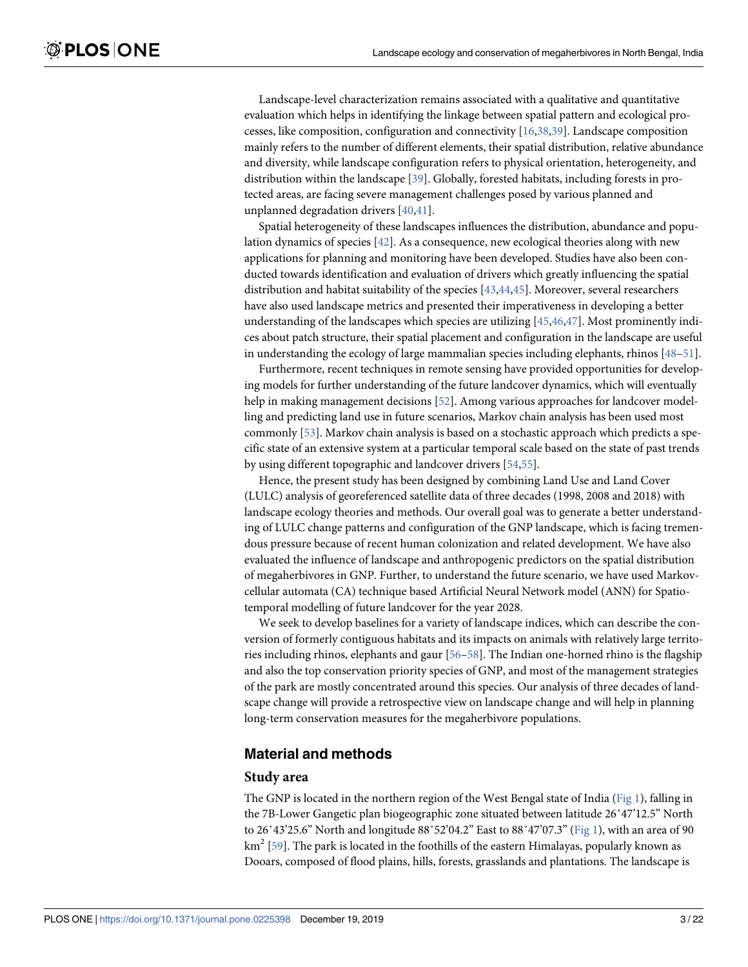<span id="page-2-0"></span>Landscape-level characterization remains associated with a qualitative and quantitative evaluation which helps in identifying the linkage between spatial pattern and ecological processes, like composition, configuration and connectivity [\[16](#page-17-0),[38](#page-18-0),[39\]](#page-18-0). Landscape composition mainly refers to the number of different elements, their spatial distribution, relative abundance and diversity, while landscape configuration refers to physical orientation, heterogeneity, and distribution within the landscape [\[39\]](#page-18-0). Globally, forested habitats, including forests in protected areas, are facing severe management challenges posed by various planned and unplanned degradation drivers [\[40,41](#page-18-0)].

Spatial heterogeneity of these landscapes influences the distribution, abundance and population dynamics of species  $[42]$ . As a consequence, new ecological theories along with new applications for planning and monitoring have been developed. Studies have also been conducted towards identification and evaluation of drivers which greatly influencing the spatial distribution and habitat suitability of the species [[43,44,45\]](#page-18-0). Moreover, several researchers have also used landscape metrics and presented their imperativeness in developing a better understanding of the landscapes which species are utilizing  $[45,46,47]$  $[45,46,47]$  $[45,46,47]$  $[45,46,47]$ . Most prominently indices about patch structure, their spatial placement and configuration in the landscape are useful in understanding the ecology of large mammalian species including elephants, rhinos [\[48](#page-18-0)[–51\]](#page-19-0).

Furthermore, recent techniques in remote sensing have provided opportunities for developing models for further understanding of the future landcover dynamics, which will eventually help in making management decisions [\[52\]](#page-19-0). Among various approaches for landcover modelling and predicting land use in future scenarios, Markov chain analysis has been used most commonly [[53](#page-19-0)]. Markov chain analysis is based on a stochastic approach which predicts a specific state of an extensive system at a particular temporal scale based on the state of past trends by using different topographic and landcover drivers [\[54,55](#page-19-0)].

Hence, the present study has been designed by combining Land Use and Land Cover (LULC) analysis of georeferenced satellite data of three decades (1998, 2008 and 2018) with landscape ecology theories and methods. Our overall goal was to generate a better understanding of LULC change patterns and configuration of the GNP landscape, which is facing tremendous pressure because of recent human colonization and related development. We have also evaluated the influence of landscape and anthropogenic predictors on the spatial distribution of megaherbivores in GNP. Further, to understand the future scenario, we have used Markovcellular automata (CA) technique based Artificial Neural Network model (ANN) for Spatiotemporal modelling of future landcover for the year 2028.

We seek to develop baselines for a variety of landscape indices, which can describe the conversion of formerly contiguous habitats and its impacts on animals with relatively large territories including rhinos, elephants and gaur [\[56–58](#page-19-0)]. The Indian one-horned rhino is the flagship and also the top conservation priority species of GNP, and most of the management strategies of the park are mostly concentrated around this species. Our analysis of three decades of landscape change will provide a retrospective view on landscape change and will help in planning long-term conservation measures for the megaherbivore populations.

# **Material and methods**

#### **Study area**

The GNP is located in the northern region of the West Bengal state of India ( $Fig 1$ ), falling in the 7B-Lower Gangetic plan biogeographic zone situated between latitude 26˚47'12.5" North to  $26°43'25.6"$  North and longitude  $88°52'04.2"$  East to  $88°47'07.3"$  [\(Fig 1\)](#page-3-0), with an area of 90 km $^2$  [\[59\]](#page-19-0). The park is located in the foothills of the eastern Himalayas, popularly known as Dooars, composed of flood plains, hills, forests, grasslands and plantations. The landscape is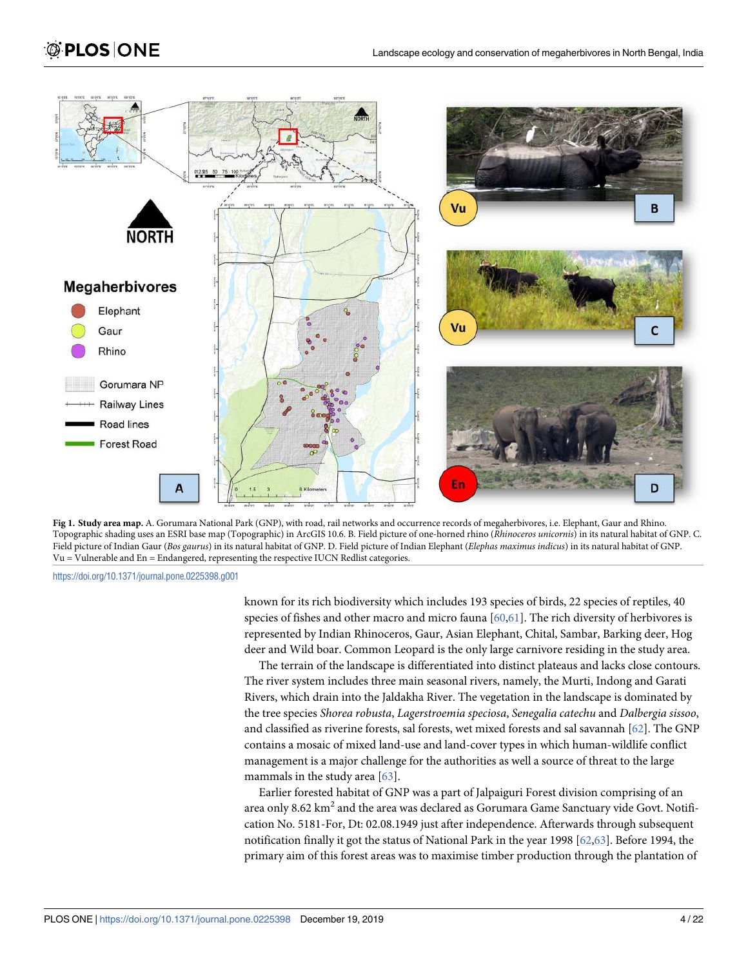# <span id="page-3-0"></span>**OPLOS ONE**





<https://doi.org/10.1371/journal.pone.0225398.g001>

known for its rich biodiversity which includes 193 species of birds, 22 species of reptiles, 40 species of fishes and other macro and micro fauna  $[60,61]$ . The rich diversity of herbivores is represented by Indian Rhinoceros, Gaur, Asian Elephant, Chital, Sambar, Barking deer, Hog deer and Wild boar. Common Leopard is the only large carnivore residing in the study area.

The terrain of the landscape is differentiated into distinct plateaus and lacks close contours. The river system includes three main seasonal rivers, namely, the Murti, Indong and Garati Rivers, which drain into the Jaldakha River. The vegetation in the landscape is dominated by the tree species Shorea robusta, Lagerstroemia speciosa, Senegalia catechu and Dalbergia sissoo, and classified as riverine forests, sal forests, wet mixed forests and sal savannah  $[62]$  $[62]$  $[62]$ . The GNP contains a mosaic of mixed land-use and land-cover types in which human-wildlife conflict management is a major challenge for the authorities as well a source of threat to the large mammals in the study area [[63](#page-19-0)].

Earlier forested habitat of GNP was a part of Jalpaiguri Forest division comprising of an area only 8.62 km $^2$  and the area was declared as Gorumara Game Sanctuary vide Govt. Notification No. 5181-For, Dt: 02.08.1949 just after independence. Afterwards through subsequent notification finally it got the status of National Park in the year 1998 [[62](#page-19-0),[63](#page-19-0)]. Before 1994, the primary aim of this forest areas was to maximise timber production through the plantation of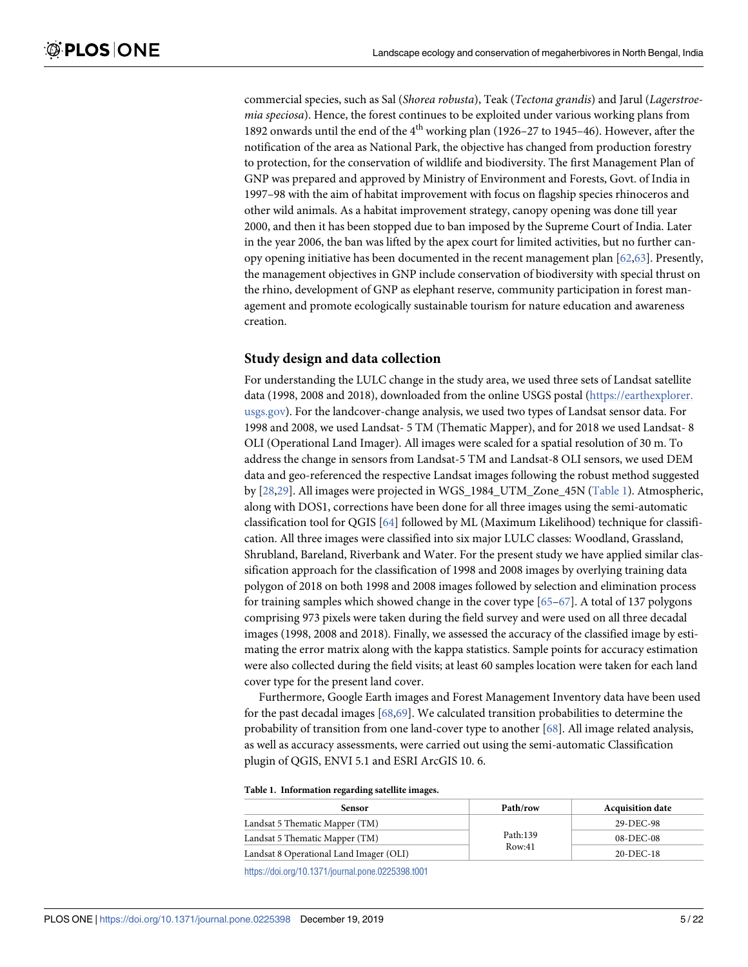<span id="page-4-0"></span>commercial species, such as Sal (Shorea robusta), Teak (Tectona grandis) and Jarul (Lagerstroemia speciosa). Hence, the forest continues to be exploited under various working plans from 1892 onwards until the end of the  $4<sup>th</sup>$  working plan (1926–27 to 1945–46). However, after the notification of the area as National Park, the objective has changed from production forestry to protection, for the conservation of wildlife and biodiversity. The first Management Plan of GNP was prepared and approved by Ministry of Environment and Forests, Govt. of India in 1997–98 with the aim of habitat improvement with focus on flagship species rhinoceros and other wild animals. As a habitat improvement strategy, canopy opening was done till year 2000, and then it has been stopped due to ban imposed by the Supreme Court of India. Later in the year 2006, the ban was lifted by the apex court for limited activities, but no further canopy opening initiative has been documented in the recent management plan [[62](#page-19-0),[63\]](#page-19-0). Presently, the management objectives in GNP include conservation of biodiversity with special thrust on the rhino, development of GNP as elephant reserve, community participation in forest management and promote ecologically sustainable tourism for nature education and awareness creation.

#### **Study design and data collection**

For understanding the LULC change in the study area, we used three sets of Landsat satellite data (1998, 2008 and 2018), downloaded from the online USGS postal ([https://earthexplorer.](https://earthexplorer.usgs.gov/) [usgs.gov\)](https://earthexplorer.usgs.gov/). For the landcover-change analysis, we used two types of Landsat sensor data. For 1998 and 2008, we used Landsat- 5 TM (Thematic Mapper), and for 2018 we used Landsat- 8 OLI (Operational Land Imager). All images were scaled for a spatial resolution of 30 m. To address the change in sensors from Landsat-5 TM and Landsat-8 OLI sensors, we used DEM data and geo-referenced the respective Landsat images following the robust method suggested by [\[28,29](#page-18-0)]. All images were projected in WGS\_1984\_UTM\_Zone\_45N (Table 1). Atmospheric, along with DOS1, corrections have been done for all three images using the semi-automatic classification tool for QGIS [[64\]](#page-19-0) followed by ML (Maximum Likelihood) technique for classification. All three images were classified into six major LULC classes: Woodland, Grassland, Shrubland, Bareland, Riverbank and Water. For the present study we have applied similar classification approach for the classification of 1998 and 2008 images by overlying training data polygon of 2018 on both 1998 and 2008 images followed by selection and elimination process for training samples which showed change in the cover type  $[65-67]$  $[65-67]$  $[65-67]$  $[65-67]$  $[65-67]$ . A total of 137 polygons comprising 973 pixels were taken during the field survey and were used on all three decadal images (1998, 2008 and 2018). Finally, we assessed the accuracy of the classified image by estimating the error matrix along with the kappa statistics. Sample points for accuracy estimation were also collected during the field visits; at least 60 samples location were taken for each land cover type for the present land cover.

Furthermore, Google Earth images and Forest Management Inventory data have been used for the past decadal images [[68,69\]](#page-19-0). We calculated transition probabilities to determine the probability of transition from one land-cover type to another [[68](#page-19-0)]. All image related analysis, as well as accuracy assessments, were carried out using the semi-automatic Classification plugin of QGIS, ENVI 5.1 and ESRI ArcGIS 10. 6.

**Table 1. Information regarding satellite images.**

| Sensor                                  | Path/row | <b>Acquisition date</b> |
|-----------------------------------------|----------|-------------------------|
| Landsat 5 Thematic Mapper (TM)          |          | 29-DEC-98               |
| Landsat 5 Thematic Mapper (TM)          | Path:139 | $08-DEC-08$             |
| Landsat 8 Operational Land Imager (OLI) | Row:41   | $20-DEC-18$             |

<https://doi.org/10.1371/journal.pone.0225398.t001>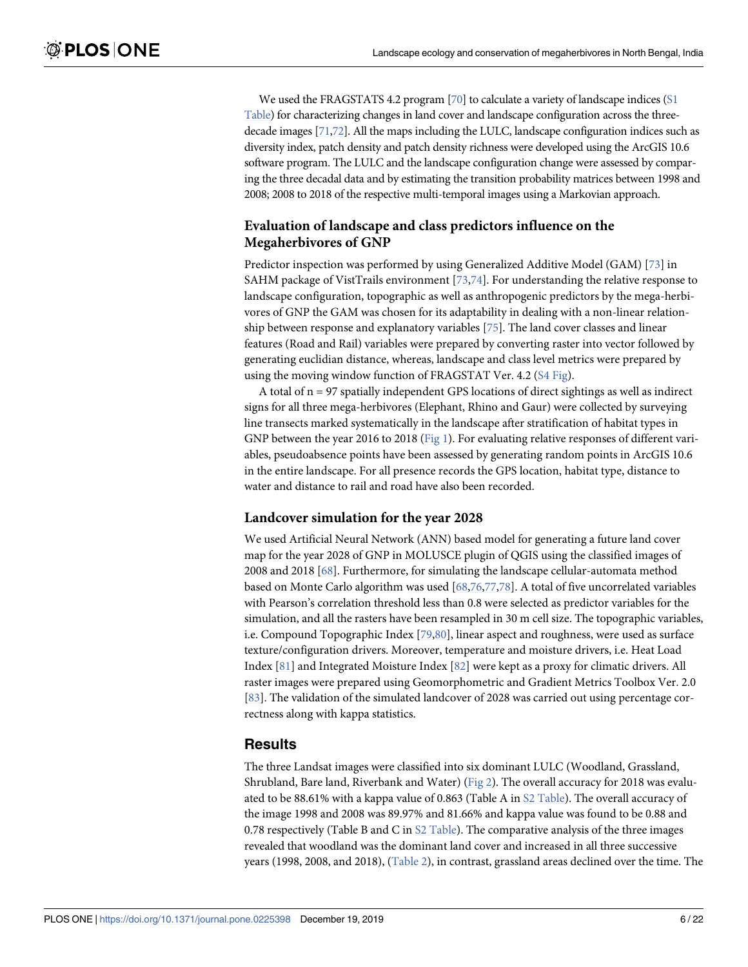<span id="page-5-0"></span>We used the FRAGSTATS 4.2 program  $[70]$  to calculate a variety of landscape indices ( $S1$ [Table](#page-15-0)) for characterizing changes in land cover and landscape configuration across the threedecade images [\[71](#page-19-0)[,72](#page-20-0)]. All the maps including the LULC, landscape configuration indices such as diversity index, patch density and patch density richness were developed using the ArcGIS 10.6 software program. The LULC and the landscape configuration change were assessed by comparing the three decadal data and by estimating the transition probability matrices between 1998 and 2008; 2008 to 2018 of the respective multi-temporal images using a Markovian approach.

# **Evaluation of landscape and class predictors influence on the Megaherbivores of GNP**

Predictor inspection was performed by using Generalized Additive Model (GAM) [\[73\]](#page-20-0) in SAHM package of VistTrails environment  $[73,74]$  $[73,74]$ . For understanding the relative response to landscape configuration, topographic as well as anthropogenic predictors by the mega-herbivores of GNP the GAM was chosen for its adaptability in dealing with a non-linear relationship between response and explanatory variables [[75](#page-20-0)]. The land cover classes and linear features (Road and Rail) variables were prepared by converting raster into vector followed by generating euclidian distance, whereas, landscape and class level metrics were prepared by using the moving window function of FRAGSTAT Ver. 4.2 [\(S4 Fig\)](#page-16-0).

A total of  $n = 97$  spatially independent GPS locations of direct sightings as well as indirect signs for all three mega-herbivores (Elephant, Rhino and Gaur) were collected by surveying line transects marked systematically in the landscape after stratification of habitat types in GNP between the year 2016 to 2018 [\(Fig 1\)](#page-3-0). For evaluating relative responses of different variables, pseudoabsence points have been assessed by generating random points in ArcGIS 10.6 in the entire landscape. For all presence records the GPS location, habitat type, distance to water and distance to rail and road have also been recorded.

#### **Landcover simulation for the year 2028**

We used Artificial Neural Network (ANN) based model for generating a future land cover map for the year 2028 of GNP in MOLUSCE plugin of QGIS using the classified images of 2008 and 2018 [\[68\]](#page-19-0). Furthermore, for simulating the landscape cellular-automata method based on Monte Carlo algorithm was used [\[68](#page-19-0)[,76,77](#page-20-0),[78](#page-20-0)]. A total of five uncorrelated variables with Pearson's correlation threshold less than 0.8 were selected as predictor variables for the simulation, and all the rasters have been resampled in 30 m cell size. The topographic variables, i.e. Compound Topographic Index [\[79,80\]](#page-20-0), linear aspect and roughness, were used as surface texture/configuration drivers. Moreover, temperature and moisture drivers, i.e. Heat Load Index [[81](#page-20-0)] and Integrated Moisture Index [[82](#page-20-0)] were kept as a proxy for climatic drivers. All raster images were prepared using Geomorphometric and Gradient Metrics Toolbox Ver. 2.0 [\[83\]](#page-20-0). The validation of the simulated landcover of 2028 was carried out using percentage correctness along with kappa statistics.

# **Results**

The three Landsat images were classified into six dominant LULC (Woodland, Grassland, Shrubland, Bare land, Riverbank and Water) [\(Fig 2\)](#page-6-0). The overall accuracy for 2018 was evaluated to be 88.61% with a kappa value of 0.863 (Table A in [S2 Table](#page-15-0)). The overall accuracy of the image 1998 and 2008 was 89.97% and 81.66% and kappa value was found to be 0.88 and 0.78 respectively (Table B and C in  $S2$  Table). The comparative analysis of the three images revealed that woodland was the dominant land cover and increased in all three successive years (1998, 2008, and 2018), ([Table 2\)](#page-6-0), in contrast, grassland areas declined over the time. The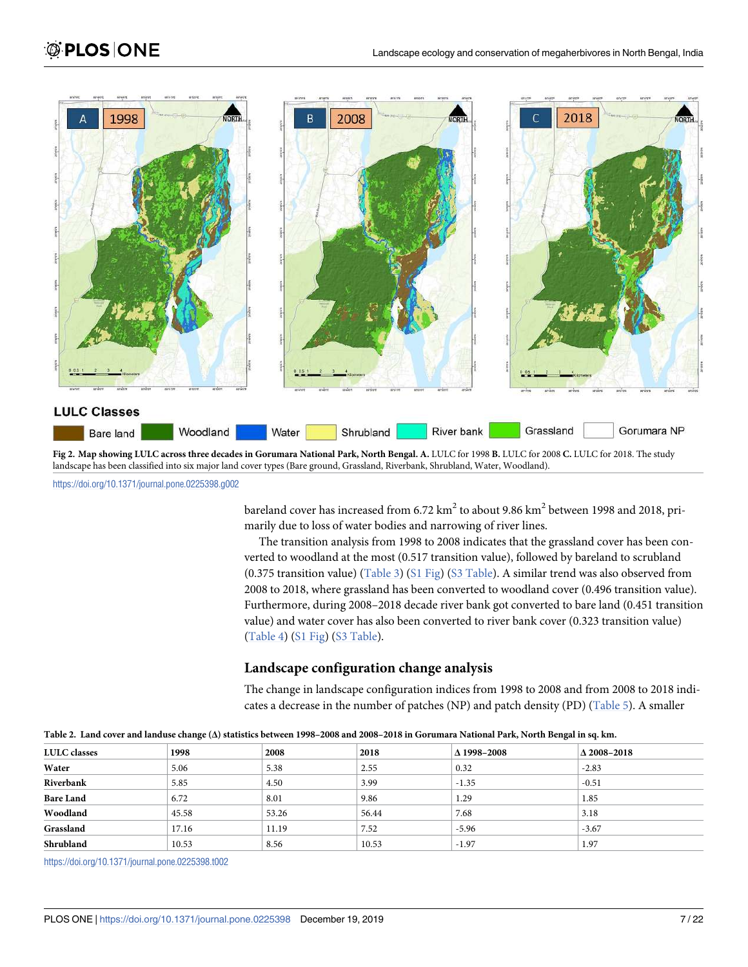<span id="page-6-0"></span>

landscape has been classified into six major land cover types (Bare ground, Grassland, Riverbank, Shrubland, Water, Woodland).

<https://doi.org/10.1371/journal.pone.0225398.g002>

bareland cover has increased from 6.72  $\rm km^2$  to about 9.86  $\rm km^2$  between 1998 and 2018, primarily due to loss of water bodies and narrowing of river lines.

The transition analysis from 1998 to 2008 indicates that the grassland cover has been converted to woodland at the most (0.517 transition value), followed by bareland to scrubland (0.375 transition value) [\(Table 3](#page-7-0)) [\(S1 Fig](#page-15-0)) [\(S3 Table](#page-15-0)). A similar trend was also observed from 2008 to 2018, where grassland has been converted to woodland cover (0.496 transition value). Furthermore, during 2008–2018 decade river bank got converted to bare land (0.451 transition value) and water cover has also been converted to river bank cover (0.323 transition value) [\(Table 4\)](#page-7-0) ([S1 Fig\)](#page-15-0) ([S3 Table\)](#page-15-0).

### **Landscape configuration change analysis**

The change in landscape configuration indices from 1998 to 2008 and from 2008 to 2018 indi-cates a decrease in the number of patches (NP) and patch density (PD) [\(Table 5\)](#page-8-0). A smaller

| LULC classes     | 1998  | 2008  | 2018  | $\Delta$ 1998-2008 | $\Delta$ 2008-2018 |  |  |
|------------------|-------|-------|-------|--------------------|--------------------|--|--|
| Water            | 5.06  | 5.38  | 2.55  | 0.32               | $-2.83$            |  |  |
| Riverbank        | 5.85  | 4.50  | 3.99  | $-1.35$            | $-0.51$            |  |  |
| <b>Bare Land</b> | 6.72  | 8.01  | 9.86  | 1.29               | 1.85               |  |  |
| Woodland         | 45.58 | 53.26 | 56.44 | 7.68               | 3.18               |  |  |
| Grassland        | 17.16 | 11.19 | 7.52  | $-5.96$            | $-3.67$            |  |  |
| Shrubland        | 10.53 | 8.56  | 10.53 | $-1.97$            | 1.97               |  |  |

**[Table 2.](#page-5-0) Land cover and landuse change (Δ) statistics between 1998–2008 and 2008–2018 in Gorumara National Park, North Bengal in sq. km.**

<https://doi.org/10.1371/journal.pone.0225398.t002>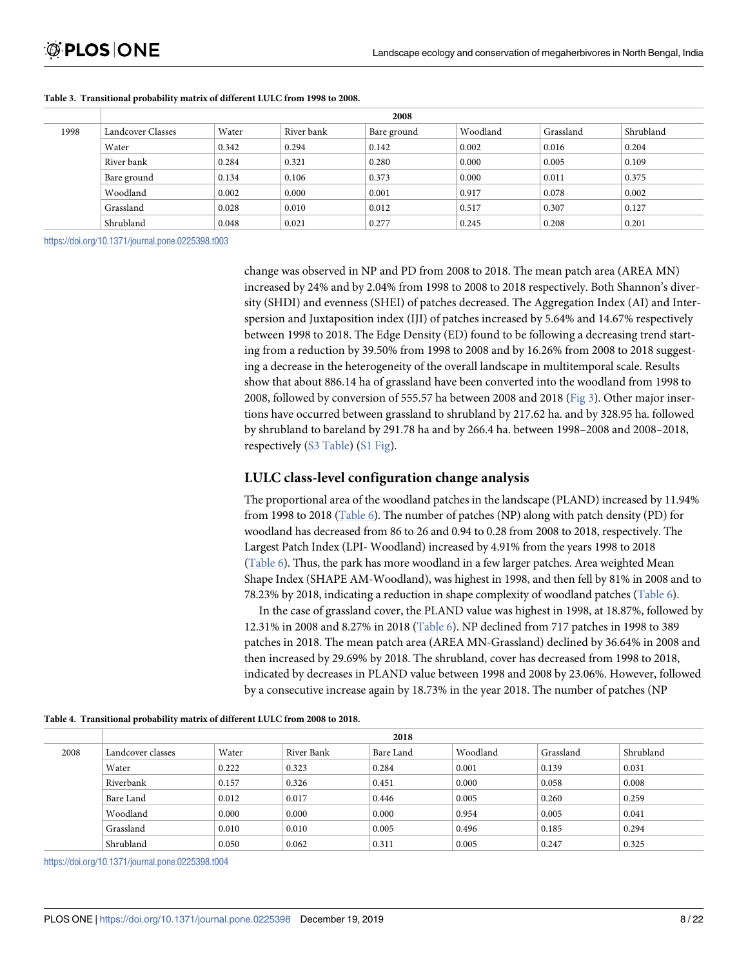|      | 2008              |       |            |             |          |           |           |  |
|------|-------------------|-------|------------|-------------|----------|-----------|-----------|--|
| 1998 | Landcover Classes | Water | River bank | Bare ground | Woodland | Grassland | Shrubland |  |
|      | Water             | 0.342 | 0.294      | 0.142       | 0.002    | 0.016     | 0.204     |  |
|      | River bank        | 0.284 | 0.321      | 0.280       | 0.000    | 0.005     | 0.109     |  |
|      | Bare ground       | 0.134 | 0.106      | 0.373       | 0.000    | 0.011     | 0.375     |  |
|      | Woodland          | 0.002 | 0.000      | 0.001       | 0.917    | 0.078     | 0.002     |  |
|      | Grassland         | 0.028 | 0.010      | 0.012       | 0.517    | 0.307     | 0.127     |  |
|      | Shrubland         | 0.048 | 0.021      | 0.277       | 0.245    | 0.208     | 0.201     |  |

#### <span id="page-7-0"></span>**[Table 3.](#page-6-0) Transitional probability matrix of different LULC from 1998 to 2008.**

<https://doi.org/10.1371/journal.pone.0225398.t003>

change was observed in NP and PD from 2008 to 2018. The mean patch area (AREA MN) increased by 24% and by 2.04% from 1998 to 2008 to 2018 respectively. Both Shannon's diversity (SHDI) and evenness (SHEI) of patches decreased. The Aggregation Index (AI) and Interspersion and Juxtaposition index (IJI) of patches increased by 5.64% and 14.67% respectively between 1998 to 2018. The Edge Density (ED) found to be following a decreasing trend starting from a reduction by 39.50% from 1998 to 2008 and by 16.26% from 2008 to 2018 suggesting a decrease in the heterogeneity of the overall landscape in multitemporal scale. Results show that about 886.14 ha of grassland have been converted into the woodland from 1998 to 2008, followed by conversion of 555.57 ha between 2008 and 2018 ([Fig 3](#page-9-0)). Other major insertions have occurred between grassland to shrubland by 217.62 ha. and by 328.95 ha. followed by shrubland to bareland by 291.78 ha and by 266.4 ha. between 1998–2008 and 2008–2018, respectively [\(S3 Table](#page-15-0)) [\(S1 Fig\)](#page-15-0).

### **LULC class-level configuration change analysis**

The proportional area of the woodland patches in the landscape (PLAND) increased by 11.94% from 1998 to 2018 [\(Table 6](#page-10-0)). The number of patches (NP) along with patch density (PD) for woodland has decreased from 86 to 26 and 0.94 to 0.28 from 2008 to 2018, respectively. The Largest Patch Index (LPI- Woodland) increased by 4.91% from the years 1998 to 2018 [\(Table 6](#page-10-0)). Thus, the park has more woodland in a few larger patches. Area weighted Mean Shape Index (SHAPE AM-Woodland), was highest in 1998, and then fell by 81% in 2008 and to 78.23% by 2018, indicating a reduction in shape complexity of woodland patches ([Table 6\)](#page-10-0).

In the case of grassland cover, the PLAND value was highest in 1998, at 18.87%, followed by 12.31% in 2008 and 8.27% in 2018 [\(Table 6](#page-10-0)). NP declined from 717 patches in 1998 to 389 patches in 2018. The mean patch area (AREA MN-Grassland) declined by 36.64% in 2008 and then increased by 29.69% by 2018. The shrubland, cover has decreased from 1998 to 2018, indicated by decreases in PLAND value between 1998 and 2008 by 23.06%. However, followed by a consecutive increase again by 18.73% in the year 2018. The number of patches (NP

|      | 2018              |       |            |           |          |           |           |  |
|------|-------------------|-------|------------|-----------|----------|-----------|-----------|--|
| 2008 | Landcover classes | Water | River Bank | Bare Land | Woodland | Grassland | Shrubland |  |
|      | Water             | 0.222 | 0.323      | 0.284     | 0.001    | 0.139     | 0.031     |  |
|      | Riverbank         | 0.157 | 0.326      | 0.451     | 0.000    | 0.058     | 0.008     |  |
|      | Bare Land         | 0.012 | 0.017      | 0.446     | 0.005    | 0.260     | 0.259     |  |
|      | Woodland          | 0.000 | 0.000      | 0.000     | 0.954    | 0.005     | 0.041     |  |
|      | Grassland         | 0.010 | 0.010      | 0.005     | 0.496    | 0.185     | 0.294     |  |
|      | Shrubland         | 0.050 | 0.062      | 0.311     | 0.005    | 0.247     | 0.325     |  |

**[Table 4.](#page-6-0) Transitional probability matrix of different LULC from 2008 to 2018.**

<https://doi.org/10.1371/journal.pone.0225398.t004>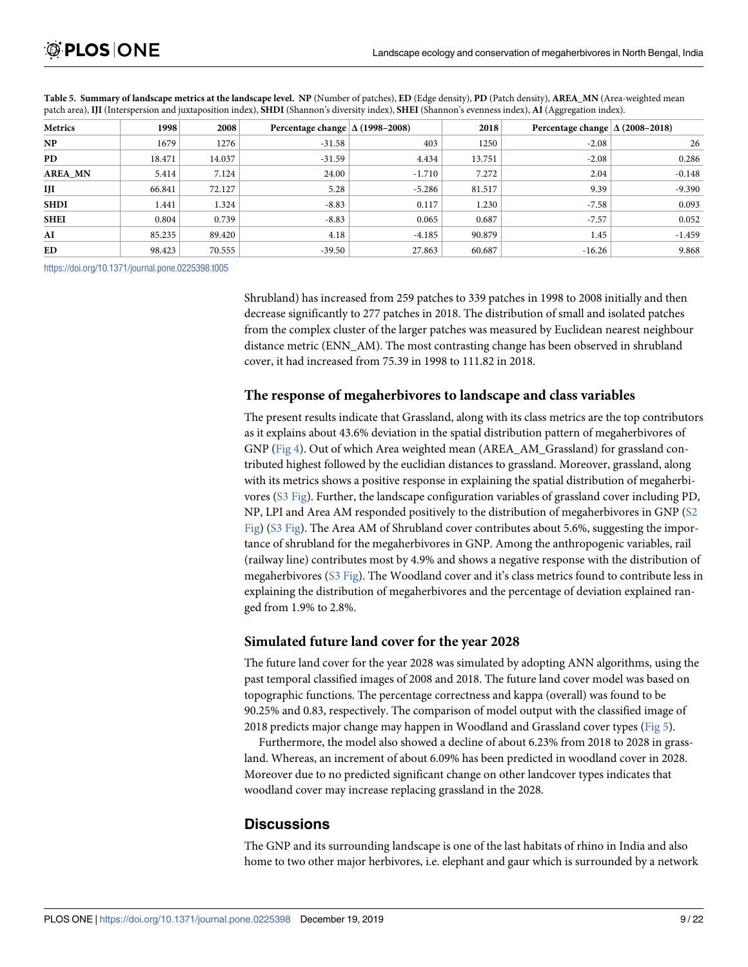| Metrics        | 1998   | 2008   | Percentage change $\Delta$ (1998–2008) |          | 2018   | Percentage change $\Delta$ (2008–2018) |          |
|----------------|--------|--------|----------------------------------------|----------|--------|----------------------------------------|----------|
| NP.            | 1679   | 1276   | $-31.58$                               | 403      | 1250   | $-2.08$                                | 26       |
| PD             | 18.471 | 14.037 | $-31.59$                               | 4.434    | 13.751 | $-2.08$                                | 0.286    |
| <b>AREA MN</b> | 5.414  | 7.124  | 24.00                                  | $-1.710$ | 7.272  | 2.04                                   | $-0.148$ |
| IJI            | 66.841 | 72.127 | 5.28                                   | $-5.286$ | 81.517 | 9.39                                   | $-9.390$ |
| SHDI           | 1.441  | 1.324  | $-8.83$                                | 0.117    | 1.230  | $-7.58$                                | 0.093    |
| <b>SHEI</b>    | 0.804  | 0.739  | $-8.83$                                | 0.065    | 0.687  | $-7.57$                                | 0.052    |
| AI             | 85.235 | 89.420 | 4.18                                   | $-4.185$ | 90.879 | 1.45                                   | $-1.459$ |
| ED             | 98.423 | 70.555 | $-39.50$                               | 27.863   | 60.687 | $-16.26$                               | 9.868    |

<span id="page-8-0"></span>**[Table 5.](#page-6-0) Summary of landscape metrics at the landscape level. NP** (Number of patches), **ED** (Edge density), **PD** (Patch density), **AREA\_MN** (Area-weighted mean patch area), **IJI** (Interspersion and juxtaposition index), **SHDI** (Shannon's diversity index), **SHEI** (Shannon's evenness index), **AI** (Aggregation index).

<https://doi.org/10.1371/journal.pone.0225398.t005>

Shrubland) has increased from 259 patches to 339 patches in 1998 to 2008 initially and then decrease significantly to 277 patches in 2018. The distribution of small and isolated patches from the complex cluster of the larger patches was measured by Euclidean nearest neighbour distance metric (ENN\_AM). The most contrasting change has been observed in shrubland cover, it had increased from 75.39 in 1998 to 111.82 in 2018.

# **The response of megaherbivores to landscape and class variables**

The present results indicate that Grassland, along with its class metrics are the top contributors as it explains about 43.6% deviation in the spatial distribution pattern of megaherbivores of GNP ([Fig 4](#page-12-0)). Out of which Area weighted mean (AREA\_AM\_Grassland) for grassland contributed highest followed by the euclidian distances to grassland. Moreover, grassland, along with its metrics shows a positive response in explaining the spatial distribution of megaherbivores ([S3 Fig](#page-16-0)). Further, the landscape configuration variables of grassland cover including PD, NP, LPI and Area AM responded positively to the distribution of megaherbivores in GNP ([S2](#page-15-0) [Fig\)](#page-15-0) ([S3 Fig\)](#page-16-0). The Area AM of Shrubland cover contributes about 5.6%, suggesting the importance of shrubland for the megaherbivores in GNP. Among the anthropogenic variables, rail (railway line) contributes most by 4.9% and shows a negative response with the distribution of megaherbivores [\(S3 Fig](#page-16-0)). The Woodland cover and it's class metrics found to contribute less in explaining the distribution of megaherbivores and the percentage of deviation explained ranged from 1.9% to 2.8%.

# **Simulated future land cover for the year 2028**

The future land cover for the year 2028 was simulated by adopting ANN algorithms, using the past temporal classified images of 2008 and 2018. The future land cover model was based on topographic functions. The percentage correctness and kappa (overall) was found to be 90.25% and 0.83, respectively. The comparison of model output with the classified image of 2018 predicts major change may happen in Woodland and Grassland cover types ([Fig 5](#page-13-0)).

Furthermore, the model also showed a decline of about 6.23% from 2018 to 2028 in grassland. Whereas, an increment of about 6.09% has been predicted in woodland cover in 2028. Moreover due to no predicted significant change on other landcover types indicates that woodland cover may increase replacing grassland in the 2028.

# **Discussions**

The GNP and its surrounding landscape is one of the last habitats of rhino in India and also home to two other major herbivores, i.e. elephant and gaur which is surrounded by a network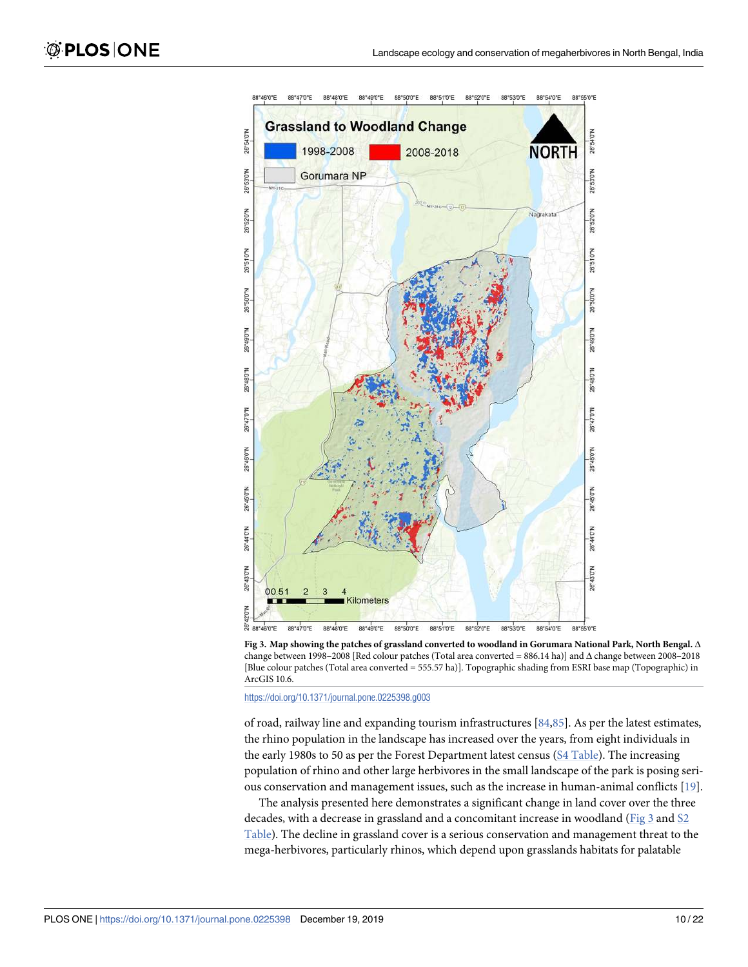<span id="page-9-0"></span>

**[Fig 3. M](#page-7-0)ap showing the patches of grassland converted to woodland in Gorumara National Park, North Bengal.** Δ change between 1998–2008 [Red colour patches (Total area converted = 886.14 ha)] and Δ change between 2008–2018 [Blue colour patches (Total area converted = 555.57 ha)]. Topographic shading from ESRI base map (Topographic) in ArcGIS 10.6.

<https://doi.org/10.1371/journal.pone.0225398.g003>

of road, railway line and expanding tourism infrastructures [[84,85\]](#page-20-0). As per the latest estimates, the rhino population in the landscape has increased over the years, from eight individuals in the early 1980s to 50 as per the Forest Department latest census [\(S4 Table\)](#page-15-0). The increasing population of rhino and other large herbivores in the small landscape of the park is posing serious conservation and management issues, such as the increase in human-animal conflicts  $[19]$ .

The analysis presented here demonstrates a significant change in land cover over the three decades, with a decrease in grassland and a concomitant increase in woodland (Fig 3 and [S2](#page-15-0) [Table](#page-15-0)). The decline in grassland cover is a serious conservation and management threat to the mega-herbivores, particularly rhinos, which depend upon grasslands habitats for palatable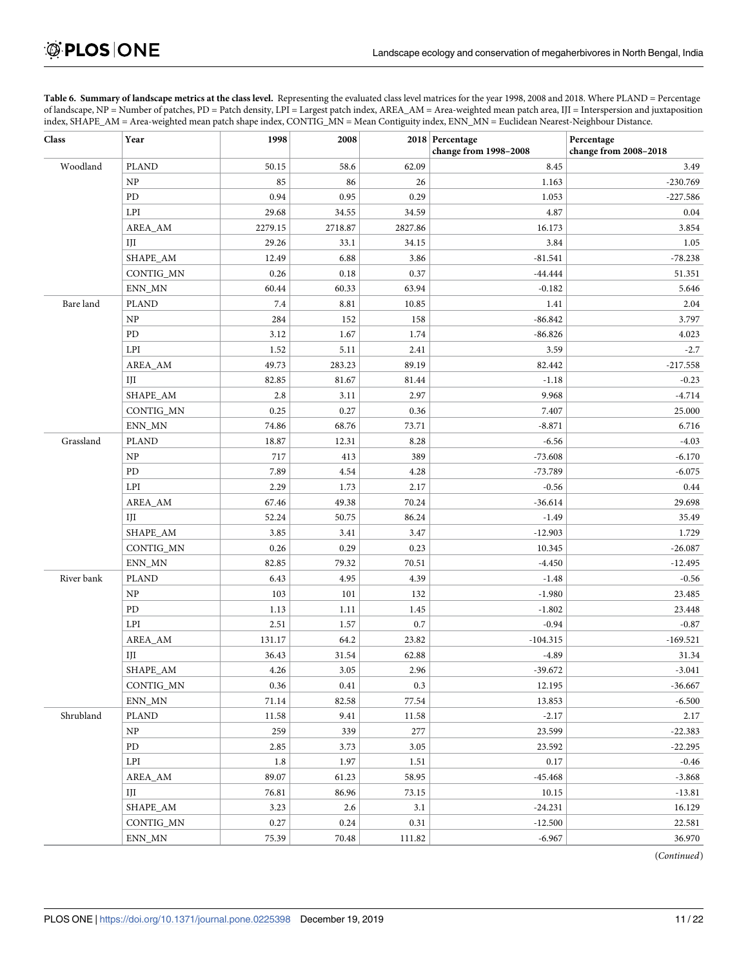<span id="page-10-0"></span>**[Table 6.](#page-7-0) Summary of landscape metrics at the class level.** Representing the evaluated class level matrices for the year 1998, 2008 and 2018. Where PLAND = Percentage of landscape, NP = Number of patches, PD = Patch density, LPI = Largest patch index, AREA\_AM = Area-weighted mean patch area, IJI = Interspersion and juxtaposition index, SHAPE\_AM = Area-weighted mean patch shape index, CONTIG\_MN = Mean Contiguity index, ENN\_MN = Euclidean Nearest-Neighbour Distance.

| Class      | Year                            | 1998    | 2008    |         | 2018 Percentage<br>change from 1998-2008 | Percentage<br>change from 2008-2018 |
|------------|---------------------------------|---------|---------|---------|------------------------------------------|-------------------------------------|
| Woodland   | <b>PLAND</b>                    | 50.15   | 58.6    | 62.09   | 8.45                                     | 3.49                                |
|            | NP                              | 85      | 86      | 26      | 1.163                                    | $-230.769$                          |
|            | PD                              | 0.94    | 0.95    | 0.29    | 1.053                                    | $-227.586$                          |
|            | LPI                             | 29.68   | 34.55   | 34.59   | 4.87                                     | 0.04                                |
|            | AREA_AM                         | 2279.15 | 2718.87 | 2827.86 | 16.173                                   | 3.854                               |
|            | IJI                             | 29.26   | 33.1    | 34.15   | 3.84                                     | 1.05                                |
|            | SHAPE_AM                        | 12.49   | 6.88    | 3.86    | $-81.541$                                | $-78.238$                           |
|            | CONTIG_MN                       | 0.26    | 0.18    | 0.37    | $-44.444$                                | 51.351                              |
|            | ENN_MN                          | 60.44   | 60.33   | 63.94   | $-0.182$                                 | 5.646                               |
| Bare land  | <b>PLAND</b>                    | 7.4     | 8.81    | 10.85   | 1.41                                     | 2.04                                |
|            | NP                              | 284     | 152     | 158     | $-86.842$                                | 3.797                               |
|            | PD                              | 3.12    | 1.67    | 1.74    | $-86.826$                                | 4.023                               |
|            | LPI                             | 1.52    | 5.11    | 2.41    | 3.59                                     | $-2.7$                              |
|            | AREA_AM                         | 49.73   | 283.23  | 89.19   | 82.442                                   | $-217.558$                          |
|            | IJI                             | 82.85   | 81.67   | 81.44   | $-1.18$                                  | $-0.23$                             |
|            | SHAPE_AM                        | 2.8     | 3.11    | 2.97    | 9.968                                    | $-4.714$                            |
|            | CONTIG_MN                       | 0.25    | 0.27    | 0.36    | 7.407                                    | 25.000                              |
|            | ENN_MN                          | 74.86   | 68.76   | 73.71   | $-8.871$                                 | 6.716                               |
| Grassland  | <b>PLAND</b>                    | 18.87   | 12.31   | 8.28    | $-6.56$                                  | $-4.03$                             |
|            | NP                              | 717     | 413     | 389     | $-73.608$                                | $-6.170$                            |
|            | PD                              | 7.89    | 4.54    | 4.28    | $-73.789$                                | $-6.075$                            |
|            | LPI                             | 2.29    | 1.73    | 2.17    | $-0.56$                                  | 0.44                                |
|            | AREA_AM                         | 67.46   | 49.38   | 70.24   | $-36.614$                                | 29.698                              |
|            | IJI                             | 52.24   | 50.75   | 86.24   | $-1.49$                                  | 35.49                               |
|            | SHAPE_AM                        | 3.85    | 3.41    | 3.47    | $-12.903$                                | 1.729                               |
|            | CONTIG_MN                       | 0.26    | 0.29    | 0.23    | 10.345                                   | $-26.087$                           |
|            | ENN_MN                          | 82.85   | 79.32   | 70.51   | $-4.450$                                 | $-12.495$                           |
| River bank | <b>PLAND</b>                    | 6.43    | 4.95    | 4.39    | $-1.48$                                  | $-0.56$                             |
|            | $\ensuremath{\text{NP}}\xspace$ | 103     | 101     | 132     | $-1.980$                                 | 23.485                              |
|            | PD                              | 1.13    | 1.11    | 1.45    | $-1.802$                                 | 23.448                              |
|            | LPI                             | 2.51    | 1.57    | 0.7     | $-0.94$                                  | $-0.87$                             |
|            | AREA_AM                         | 131.17  | 64.2    | 23.82   | $-104.315$                               | $-169.521$                          |
|            | IJI                             | 36.43   | 31.54   | 62.88   | $-4.89$                                  | 31.34                               |
|            | SHAPE_AM                        | 4.26    | 3.05    | 2.96    | $-39.672$                                | $-3.041$                            |
|            | CONTIG_MN                       | 0.36    | 0.41    | 0.3     | 12.195                                   | $-36.667$                           |
|            | ENN_MN                          | 71.14   | 82.58   | 77.54   | 13.853                                   | $-6.500$                            |
| Shrubland  | <b>PLAND</b>                    | 11.58   | 9.41    | 11.58   | $-2.17$                                  | 2.17                                |
|            | $\ensuremath{\text{NP}}\xspace$ | 259     | 339     | 277     | 23.599                                   | $-22.383$                           |
|            | ${\rm PD}$                      | 2.85    | 3.73    | 3.05    | 23.592                                   | $-22.295$                           |
|            | LPI                             | $1.8\,$ | 1.97    | 1.51    | 0.17                                     | $-0.46$                             |
|            | AREA_AM                         | 89.07   | 61.23   | 58.95   | $-45.468$                                | $-3.868$                            |
|            | IJI                             | 76.81   | 86.96   | 73.15   | 10.15                                    | $-13.81$                            |
|            | SHAPE_AM                        | 3.23    | 2.6     | 3.1     | $-24.231$                                | 16.129                              |
|            | CONTIG_MN                       | 0.27    | 0.24    | 0.31    | $-12.500$                                | 22.581                              |
|            | ENN_MN                          | 75.39   | 70.48   | 111.82  | $-6.967$                                 | 36.970                              |

(Continued)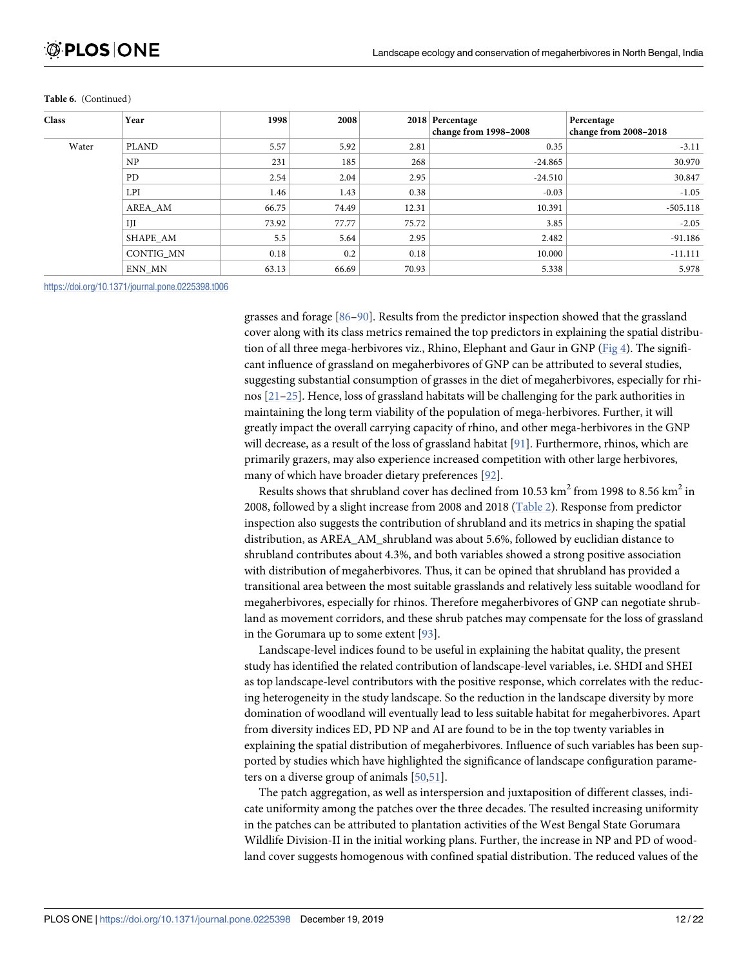| <b>Class</b> | Year         | 1998  | 2008  |       | 2018 Percentage       | Percentage            |
|--------------|--------------|-------|-------|-------|-----------------------|-----------------------|
|              |              |       |       |       | change from 1998-2008 | change from 2008-2018 |
| Water        | <b>PLAND</b> | 5.57  | 5.92  | 2.81  | 0.35                  | $-3.11$               |
|              | NP           | 231   | 185   | 268   | $-24.865$             | 30.970                |
|              | PD.          | 2.54  | 2.04  | 2.95  | $-24.510$             | 30.847                |
|              | <b>LPI</b>   | 1.46  | 1.43  | 0.38  | $-0.03$               | $-1.05$               |
|              | AREA_AM      | 66.75 | 74.49 | 12.31 | 10.391                | $-505.118$            |
|              | IJI          | 73.92 | 77.77 | 75.72 | 3.85                  | $-2.05$               |
|              | SHAPE AM     | 5.5   | 5.64  | 2.95  | 2.482                 | $-91.186$             |
|              | CONTIG MN    | 0.18  | 0.2   | 0.18  | 10.000                | $-11.111$             |
|              | ENN MN       | 63.13 | 66.69 | 70.93 | 5.338                 | 5.978                 |

#### <span id="page-11-0"></span>**Table 6.** (Continued)

<https://doi.org/10.1371/journal.pone.0225398.t006>

grasses and forage [[86–90\]](#page-20-0). Results from the predictor inspection showed that the grassland cover along with its class metrics remained the top predictors in explaining the spatial distribution of all three mega-herbivores viz., Rhino, Elephant and Gaur in GNP [\(Fig 4\)](#page-12-0). The significant influence of grassland on megaherbivores of GNP can be attributed to several studies, suggesting substantial consumption of grasses in the diet of megaherbivores, especially for rhinos [[21–25\]](#page-17-0). Hence, loss of grassland habitats will be challenging for the park authorities in maintaining the long term viability of the population of mega-herbivores. Further, it will greatly impact the overall carrying capacity of rhino, and other mega-herbivores in the GNP will decrease, as a result of the loss of grassland habitat [\[91\]](#page-20-0). Furthermore, rhinos, which are primarily grazers, may also experience increased competition with other large herbivores, many of which have broader dietary preferences [[92](#page-20-0)].

Results shows that shrubland cover has declined from 10.53  $\rm km^2$  from 1998 to 8.56  $\rm km^2$  in 2008, followed by a slight increase from 2008 and 2018 [\(Table 2](#page-6-0)). Response from predictor inspection also suggests the contribution of shrubland and its metrics in shaping the spatial distribution, as AREA\_AM\_shrubland was about 5.6%, followed by euclidian distance to shrubland contributes about 4.3%, and both variables showed a strong positive association with distribution of megaherbivores. Thus, it can be opined that shrubland has provided a transitional area between the most suitable grasslands and relatively less suitable woodland for megaherbivores, especially for rhinos. Therefore megaherbivores of GNP can negotiate shrubland as movement corridors, and these shrub patches may compensate for the loss of grassland in the Gorumara up to some extent [\[93\]](#page-20-0).

Landscape-level indices found to be useful in explaining the habitat quality, the present study has identified the related contribution of landscape-level variables, i.e. SHDI and SHEI as top landscape-level contributors with the positive response, which correlates with the reducing heterogeneity in the study landscape. So the reduction in the landscape diversity by more domination of woodland will eventually lead to less suitable habitat for megaherbivores. Apart from diversity indices ED, PD NP and AI are found to be in the top twenty variables in explaining the spatial distribution of megaherbivores. Influence of such variables has been supported by studies which have highlighted the significance of landscape configuration parameters on a diverse group of animals [\[50](#page-18-0)[,51\]](#page-19-0).

The patch aggregation, as well as interspersion and juxtaposition of different classes, indicate uniformity among the patches over the three decades. The resulted increasing uniformity in the patches can be attributed to plantation activities of the West Bengal State Gorumara Wildlife Division-II in the initial working plans. Further, the increase in NP and PD of woodland cover suggests homogenous with confined spatial distribution. The reduced values of the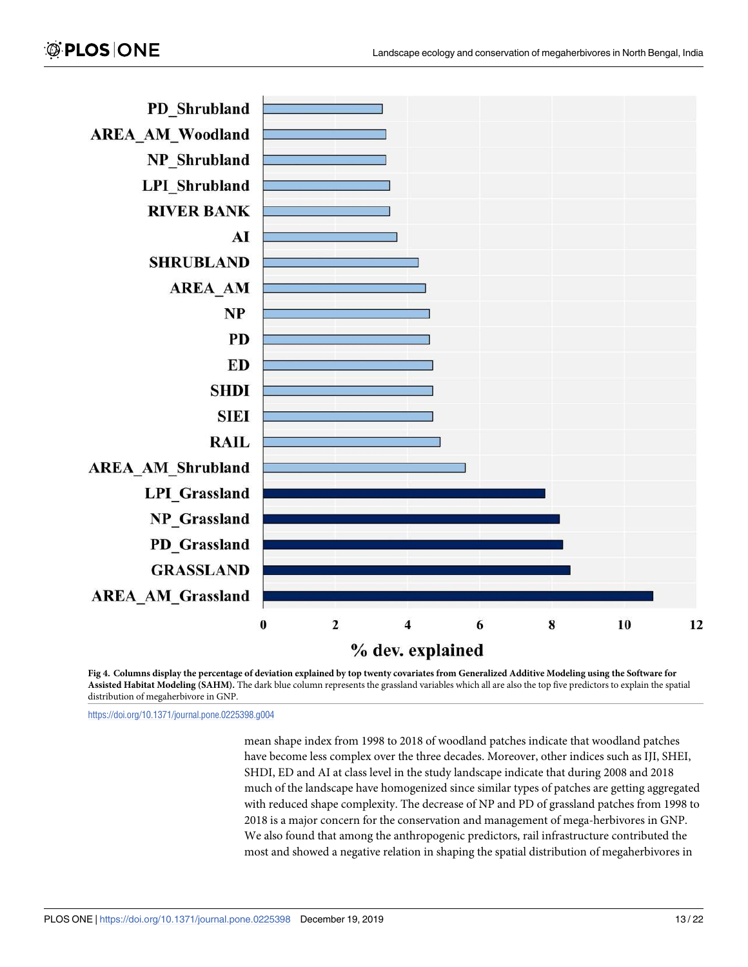<span id="page-12-0"></span>

**[Fig 4. C](#page-8-0)olumns display the percentage of deviation explained by top twenty covariates from Generalized Additive Modeling using the Software for Assisted Habitat Modeling (SAHM).** The dark blue column represents the grassland variables which all are also the top five predictors to explain the spatial distribution of megaherbivore in GNP.

<https://doi.org/10.1371/journal.pone.0225398.g004>

mean shape index from 1998 to 2018 of woodland patches indicate that woodland patches have become less complex over the three decades. Moreover, other indices such as IJI, SHEI, SHDI, ED and AI at class level in the study landscape indicate that during 2008 and 2018 much of the landscape have homogenized since similar types of patches are getting aggregated with reduced shape complexity. The decrease of NP and PD of grassland patches from 1998 to 2018 is a major concern for the conservation and management of mega-herbivores in GNP. We also found that among the anthropogenic predictors, rail infrastructure contributed the most and showed a negative relation in shaping the spatial distribution of megaherbivores in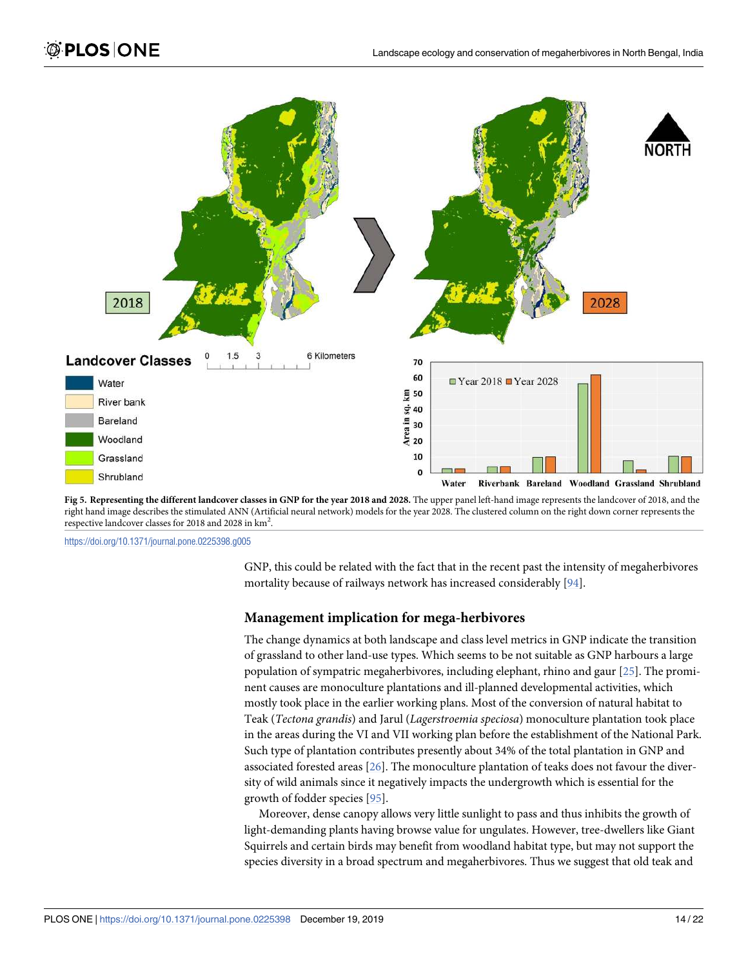<span id="page-13-0"></span>

**[Fig 5. R](#page-8-0)epresenting the different landcover classes in GNP for the year 2018 and 2028.** The upper panel left-hand image represents the landcover of 2018, and the right hand image describes the stimulated ANN (Artificial neural network) models for the year 2028. The clustered column on the right down corner represents the respective landcover classes for 2018 and 2028 in km<sup>2</sup>.

<https://doi.org/10.1371/journal.pone.0225398.g005>

GNP, this could be related with the fact that in the recent past the intensity of megaherbivores mortality because of railways network has increased considerably [\[94\]](#page-21-0).

#### **Management implication for mega-herbivores**

The change dynamics at both landscape and class level metrics in GNP indicate the transition of grassland to other land-use types. Which seems to be not suitable as GNP harbours a large population of sympatric megaherbivores, including elephant, rhino and gaur [\[25\]](#page-17-0). The prominent causes are monoculture plantations and ill-planned developmental activities, which mostly took place in the earlier working plans. Most of the conversion of natural habitat to Teak (Tectona grandis) and Jarul (Lagerstroemia speciosa) monoculture plantation took place in the areas during the VI and VII working plan before the establishment of the National Park. Such type of plantation contributes presently about 34% of the total plantation in GNP and associated forested areas [[26](#page-17-0)]. The monoculture plantation of teaks does not favour the diversity of wild animals since it negatively impacts the undergrowth which is essential for the growth of fodder species [[95](#page-21-0)].

Moreover, dense canopy allows very little sunlight to pass and thus inhibits the growth of light-demanding plants having browse value for ungulates. However, tree-dwellers like Giant Squirrels and certain birds may benefit from woodland habitat type, but may not support the species diversity in a broad spectrum and megaherbivores. Thus we suggest that old teak and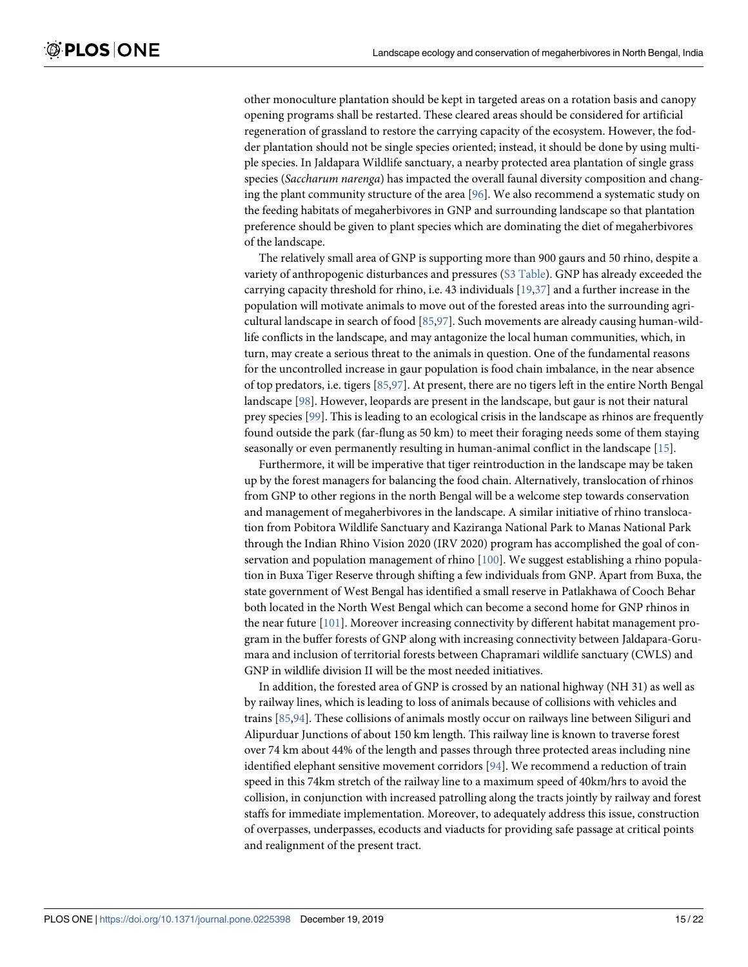<span id="page-14-0"></span>other monoculture plantation should be kept in targeted areas on a rotation basis and canopy opening programs shall be restarted. These cleared areas should be considered for artificial regeneration of grassland to restore the carrying capacity of the ecosystem. However, the fodder plantation should not be single species oriented; instead, it should be done by using multiple species. In Jaldapara Wildlife sanctuary, a nearby protected area plantation of single grass species (Saccharum narenga) has impacted the overall faunal diversity composition and changing the plant community structure of the area [[96](#page-21-0)]. We also recommend a systematic study on the feeding habitats of megaherbivores in GNP and surrounding landscape so that plantation preference should be given to plant species which are dominating the diet of megaherbivores of the landscape.

The relatively small area of GNP is supporting more than 900 gaurs and 50 rhino, despite a variety of anthropogenic disturbances and pressures ([S3 Table\)](#page-15-0). GNP has already exceeded the carrying capacity threshold for rhino, i.e. 43 individuals [\[19,](#page-17-0)[37](#page-18-0)] and a further increase in the population will motivate animals to move out of the forested areas into the surrounding agricultural landscape in search of food [[85](#page-20-0),[97](#page-21-0)]. Such movements are already causing human-wildlife conflicts in the landscape, and may antagonize the local human communities, which, in turn, may create a serious threat to the animals in question. One of the fundamental reasons for the uncontrolled increase in gaur population is food chain imbalance, in the near absence of top predators, i.e. tigers [[85](#page-20-0),[97](#page-21-0)]. At present, there are no tigers left in the entire North Bengal landscape [[98](#page-21-0)]. However, leopards are present in the landscape, but gaur is not their natural prey species [\[99\]](#page-21-0). This is leading to an ecological crisis in the landscape as rhinos are frequently found outside the park (far-flung as 50 km) to meet their foraging needs some of them staying seasonally or even permanently resulting in human-animal conflict in the landscape [[15](#page-17-0)].

Furthermore, it will be imperative that tiger reintroduction in the landscape may be taken up by the forest managers for balancing the food chain. Alternatively, translocation of rhinos from GNP to other regions in the north Bengal will be a welcome step towards conservation and management of megaherbivores in the landscape. A similar initiative of rhino translocation from Pobitora Wildlife Sanctuary and Kaziranga National Park to Manas National Park through the Indian Rhino Vision 2020 (IRV 2020) program has accomplished the goal of conservation and population management of rhino [\[100\]](#page-21-0). We suggest establishing a rhino population in Buxa Tiger Reserve through shifting a few individuals from GNP. Apart from Buxa, the state government of West Bengal has identified a small reserve in Patlakhawa of Cooch Behar both located in the North West Bengal which can become a second home for GNP rhinos in the near future [[101\]](#page-21-0). Moreover increasing connectivity by different habitat management program in the buffer forests of GNP along with increasing connectivity between Jaldapara-Gorumara and inclusion of territorial forests between Chapramari wildlife sanctuary (CWLS) and GNP in wildlife division II will be the most needed initiatives.

In addition, the forested area of GNP is crossed by an national highway (NH 31) as well as by railway lines, which is leading to loss of animals because of collisions with vehicles and trains [\[85](#page-20-0)[,94\]](#page-21-0). These collisions of animals mostly occur on railways line between Siliguri and Alipurduar Junctions of about 150 km length. This railway line is known to traverse forest over 74 km about 44% of the length and passes through three protected areas including nine identified elephant sensitive movement corridors [\[94\]](#page-21-0). We recommend a reduction of train speed in this 74km stretch of the railway line to a maximum speed of 40km/hrs to avoid the collision, in conjunction with increased patrolling along the tracts jointly by railway and forest staffs for immediate implementation. Moreover, to adequately address this issue, construction of overpasses, underpasses, ecoducts and viaducts for providing safe passage at critical points and realignment of the present tract.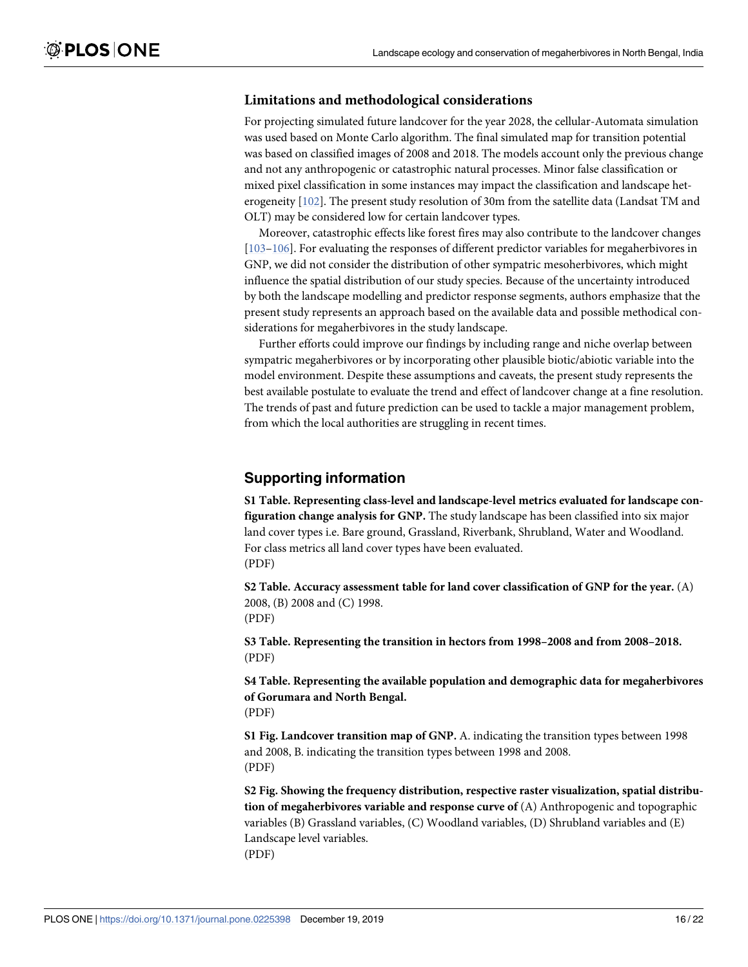#### <span id="page-15-0"></span>**Limitations and methodological considerations**

For projecting simulated future landcover for the year 2028, the cellular-Automata simulation was used based on Monte Carlo algorithm. The final simulated map for transition potential was based on classified images of 2008 and 2018. The models account only the previous change and not any anthropogenic or catastrophic natural processes. Minor false classification or mixed pixel classification in some instances may impact the classification and landscape heterogeneity [\[102\]](#page-21-0). The present study resolution of 30m from the satellite data (Landsat TM and OLT) may be considered low for certain landcover types.

Moreover, catastrophic effects like forest fires may also contribute to the landcover changes [\[103–106](#page-21-0)]. For evaluating the responses of different predictor variables for megaherbivores in GNP, we did not consider the distribution of other sympatric mesoherbivores, which might influence the spatial distribution of our study species. Because of the uncertainty introduced by both the landscape modelling and predictor response segments, authors emphasize that the present study represents an approach based on the available data and possible methodical considerations for megaherbivores in the study landscape.

Further efforts could improve our findings by including range and niche overlap between sympatric megaherbivores or by incorporating other plausible biotic/abiotic variable into the model environment. Despite these assumptions and caveats, the present study represents the best available postulate to evaluate the trend and effect of landcover change at a fine resolution. The trends of past and future prediction can be used to tackle a major management problem, from which the local authorities are struggling in recent times.

# **Supporting information**

**[S1 Table.](http://www.plosone.org/article/fetchSingleRepresentation.action?uri=info:doi/10.1371/journal.pone.0225398.s001) Representing class-level and landscape-level metrics evaluated for landscape configuration change analysis for GNP.** The study landscape has been classified into six major land cover types i.e. Bare ground, Grassland, Riverbank, Shrubland, Water and Woodland. For class metrics all land cover types have been evaluated. (PDF)

**[S2 Table.](http://www.plosone.org/article/fetchSingleRepresentation.action?uri=info:doi/10.1371/journal.pone.0225398.s002) Accuracy assessment table for land cover classification of GNP for the year.** (A) 2008, (B) 2008 and (C) 1998. (PDF)

**[S3 Table.](http://www.plosone.org/article/fetchSingleRepresentation.action?uri=info:doi/10.1371/journal.pone.0225398.s003) Representing the transition in hectors from 1998–2008 and from 2008–2018.** (PDF)

**[S4 Table.](http://www.plosone.org/article/fetchSingleRepresentation.action?uri=info:doi/10.1371/journal.pone.0225398.s004) Representing the available population and demographic data for megaherbivores of Gorumara and North Bengal.** (PDF)

**[S1 Fig](http://www.plosone.org/article/fetchSingleRepresentation.action?uri=info:doi/10.1371/journal.pone.0225398.s005). Landcover transition map of GNP.** A. indicating the transition types between 1998 and 2008, B. indicating the transition types between 1998 and 2008. (PDF)

**[S2 Fig](http://www.plosone.org/article/fetchSingleRepresentation.action?uri=info:doi/10.1371/journal.pone.0225398.s006). Showing the frequency distribution, respective raster visualization, spatial distribution of megaherbivores variable and response curve of** (A) Anthropogenic and topographic variables (B) Grassland variables, (C) Woodland variables, (D) Shrubland variables and (E) Landscape level variables. (PDF)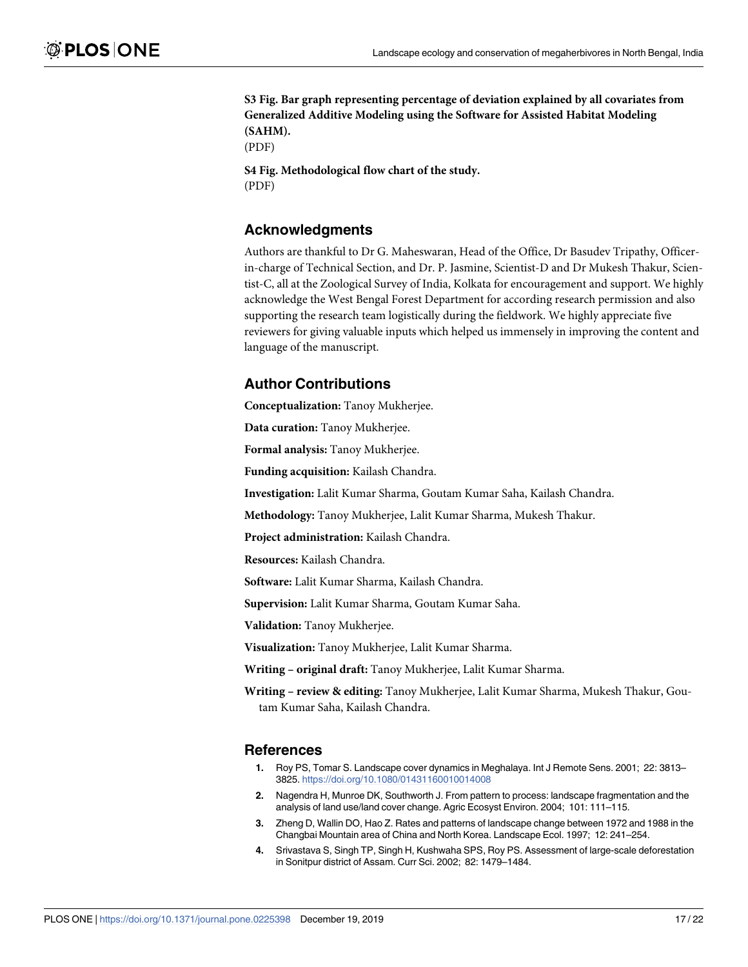<span id="page-16-0"></span>**[S3 Fig](http://www.plosone.org/article/fetchSingleRepresentation.action?uri=info:doi/10.1371/journal.pone.0225398.s007). Bar graph representing percentage of deviation explained by all covariates from Generalized Additive Modeling using the Software for Assisted Habitat Modeling (SAHM).**

(PDF)

**[S4 Fig](http://www.plosone.org/article/fetchSingleRepresentation.action?uri=info:doi/10.1371/journal.pone.0225398.s008). Methodological flow chart of the study.** (PDF)

# **Acknowledgments**

Authors are thankful to Dr G. Maheswaran, Head of the Office, Dr Basudev Tripathy, Officerin-charge of Technical Section, and Dr. P. Jasmine, Scientist-D and Dr Mukesh Thakur, Scientist-C, all at the Zoological Survey of India, Kolkata for encouragement and support. We highly acknowledge the West Bengal Forest Department for according research permission and also supporting the research team logistically during the fieldwork. We highly appreciate five reviewers for giving valuable inputs which helped us immensely in improving the content and language of the manuscript.

# **Author Contributions**

**Conceptualization:** Tanoy Mukherjee.

**Data curation:** Tanoy Mukherjee.

**Formal analysis:** Tanoy Mukherjee.

**Funding acquisition:** Kailash Chandra.

**Investigation:** Lalit Kumar Sharma, Goutam Kumar Saha, Kailash Chandra.

**Methodology:** Tanoy Mukherjee, Lalit Kumar Sharma, Mukesh Thakur.

**Project administration:** Kailash Chandra.

**Resources:** Kailash Chandra.

**Software:** Lalit Kumar Sharma, Kailash Chandra.

**Supervision:** Lalit Kumar Sharma, Goutam Kumar Saha.

**Validation:** Tanoy Mukherjee.

**Visualization:** Tanoy Mukherjee, Lalit Kumar Sharma.

**Writing – original draft:** Tanoy Mukherjee, Lalit Kumar Sharma.

**Writing – review & editing:** Tanoy Mukherjee, Lalit Kumar Sharma, Mukesh Thakur, Goutam Kumar Saha, Kailash Chandra.

# **References**

- **[1.](#page-0-0)** Roy PS, Tomar S. Landscape cover dynamics in Meghalaya. Int J Remote Sens. 2001; 22: 3813– 3825. <https://doi.org/10.1080/01431160010014008>
- **[2.](#page-0-0)** Nagendra H, Munroe DK, Southworth J. From pattern to process: landscape fragmentation and the analysis of land use/land cover change. Agric Ecosyst Environ. 2004; 101: 111–115.
- **[3.](#page-1-0)** Zheng D, Wallin DO, Hao Z. Rates and patterns of landscape change between 1972 and 1988 in the Changbai Mountain area of China and North Korea. Landscape Ecol. 1997; 12: 241–254.
- **[4.](#page-1-0)** Srivastava S, Singh TP, Singh H, Kushwaha SPS, Roy PS. Assessment of large-scale deforestation in Sonitpur district of Assam. Curr Sci. 2002; 82: 1479–1484.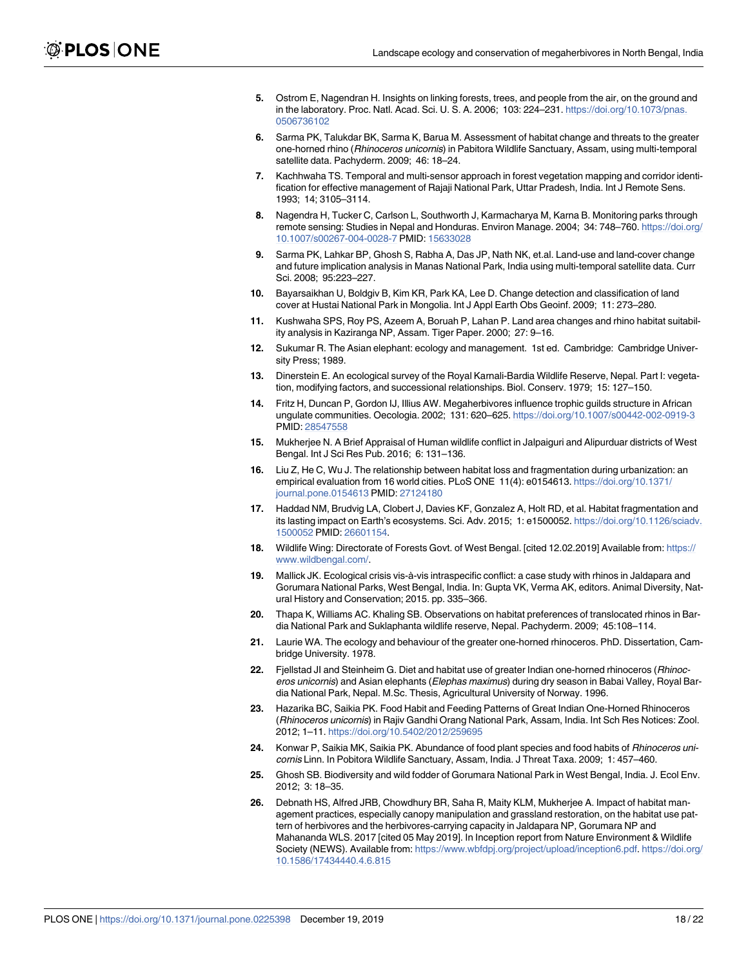- <span id="page-17-0"></span>**[5.](#page-1-0)** Ostrom E, Nagendran H. Insights on linking forests, trees, and people from the air, on the ground and in the laboratory. Proc. Natl. Acad. Sci. U. S. A. 2006; 103: 224–231. [https://doi.org/10.1073/pnas.](https://doi.org/10.1073/pnas.0506736102) [0506736102](https://doi.org/10.1073/pnas.0506736102)
- **[6.](#page-1-0)** Sarma PK, Talukdar BK, Sarma K, Barua M. Assessment of habitat change and threats to the greater one-horned rhino (Rhinoceros unicornis) in Pabitora Wildlife Sanctuary, Assam, using multi-temporal satellite data. Pachyderm. 2009; 46: 18–24.
- **[7.](#page-1-0)** Kachhwaha TS. Temporal and multi-sensor approach in forest vegetation mapping and corridor identification for effective management of Rajaji National Park, Uttar Pradesh, India. Int J Remote Sens. 1993; 14; 3105–3114.
- **[8.](#page-1-0)** Nagendra H, Tucker C, Carlson L, Southworth J, Karmacharya M, Karna B. Monitoring parks through remote sensing: Studies in Nepal and Honduras. Environ Manage. 2004; 34: 748–760. [https://doi.org/](https://doi.org/10.1007/s00267-004-0028-7) [10.1007/s00267-004-0028-7](https://doi.org/10.1007/s00267-004-0028-7) PMID: [15633028](http://www.ncbi.nlm.nih.gov/pubmed/15633028)
- **[9.](#page-1-0)** Sarma PK, Lahkar BP, Ghosh S, Rabha A, Das JP, Nath NK, et.al. Land-use and land-cover change and future implication analysis in Manas National Park, India using multi-temporal satellite data. Curr Sci. 2008; 95:223–227.
- **[10.](#page-1-0)** Bayarsaikhan U, Boldgiv B, Kim KR, Park KA, Lee D. Change detection and classification of land cover at Hustai National Park in Mongolia. Int J Appl Earth Obs Geoinf. 2009; 11: 273–280.
- **[11.](#page-1-0)** Kushwaha SPS, Roy PS, Azeem A, Boruah P, Lahan P. Land area changes and rhino habitat suitability analysis in Kaziranga NP, Assam. Tiger Paper. 2000; 27: 9–16.
- **[12.](#page-1-0)** Sukumar R. The Asian elephant: ecology and management. 1st ed. Cambridge: Cambridge University Press; 1989.
- **[13.](#page-1-0)** Dinerstein E. An ecological survey of the Royal Karnali-Bardia Wildlife Reserve, Nepal. Part I: vegetation, modifying factors, and successional relationships. Biol. Conserv. 1979; 15: 127–150.
- **[14.](#page-1-0)** Fritz H, Duncan P, Gordon IJ, Illius AW. Megaherbivores influence trophic guilds structure in African ungulate communities. Oecologia. 2002; 131: 620–625. <https://doi.org/10.1007/s00442-002-0919-3> PMID: [28547558](http://www.ncbi.nlm.nih.gov/pubmed/28547558)
- **[15.](#page-1-0)** Mukherjee N. A Brief Appraisal of Human wildlife conflict in Jalpaiguri and Alipurduar districts of West Bengal. Int J Sci Res Pub. 2016; 6: 131–136.
- **[16.](#page-1-0)** Liu Z, He C, Wu J. The relationship between habitat loss and fragmentation during urbanization: an empirical evaluation from 16 world cities. PLoS ONE 11(4): e0154613. [https://doi.org/10.1371/](https://doi.org/10.1371/journal.pone.0154613) [journal.pone.0154613](https://doi.org/10.1371/journal.pone.0154613) PMID: [27124180](http://www.ncbi.nlm.nih.gov/pubmed/27124180)
- **[17.](#page-1-0)** Haddad NM, Brudvig LA, Clobert J, Davies KF, Gonzalez A, Holt RD, et al. Habitat fragmentation and its lasting impact on Earth's ecosystems. Sci. Adv. 2015; 1: e1500052. [https://doi.org/10.1126/sciadv.](https://doi.org/10.1126/sciadv.1500052) [1500052](https://doi.org/10.1126/sciadv.1500052) PMID: [26601154.](http://www.ncbi.nlm.nih.gov/pubmed/26601154)
- **[18.](#page-1-0)** Wildlife Wing: Directorate of Forests Govt. of West Bengal. [cited 12.02.2019] Available from: [https://](https://www.wildbengal.com/) [www.wildbengal.com/.](https://www.wildbengal.com/)
- **[19.](#page-1-0)** Mallick JK. Ecological crisis vis-à-vis intraspecific conflict: a case study with rhinos in Jaldapara and Gorumara National Parks, West Bengal, India. In: Gupta VK, Verma AK, editors. Animal Diversity, Natural History and Conservation; 2015. pp. 335–366.
- **[20.](#page-1-0)** Thapa K, Williams AC. Khaling SB. Observations on habitat preferences of translocated rhinos in Bardia National Park and Suklaphanta wildlife reserve, Nepal. Pachyderm. 2009; 45:108–114.
- **[21.](#page-1-0)** Laurie WA. The ecology and behaviour of the greater one-horned rhinoceros. PhD. Dissertation, Cambridge University. 1978.
- **[22.](#page-1-0)** Fjellstad JI and Steinheim G. Diet and habitat use of greater Indian one-horned rhinoceros (Rhinoceros unicornis) and Asian elephants (Elephas maximus) during dry season in Babai Valley, Royal Bardia National Park, Nepal. M.Sc. Thesis, Agricultural University of Norway. 1996.
- **[23.](#page-1-0)** Hazarika BC, Saikia PK. Food Habit and Feeding Patterns of Great Indian One-Horned Rhinoceros (Rhinoceros unicornis) in Rajiv Gandhi Orang National Park, Assam, India. Int Sch Res Notices: Zool. 2012; 1–11. <https://doi.org/10.5402/2012/259695>
- **[24.](#page-1-0)** Konwar P, Saikia MK, Saikia PK. Abundance of food plant species and food habits of Rhinoceros unicornis Linn. In Pobitora Wildlife Sanctuary, Assam, India. J Threat Taxa. 2009; 1: 457–460.
- **[25.](#page-1-0)** Ghosh SB. Biodiversity and wild fodder of Gorumara National Park in West Bengal, India. J. Ecol Env. 2012; 3: 18–35.
- **[26.](#page-1-0)** Debnath HS, Alfred JRB, Chowdhury BR, Saha R, Maity KLM, Mukherjee A. Impact of habitat management practices, especially canopy manipulation and grassland restoration, on the habitat use pattern of herbivores and the herbivores-carrying capacity in Jaldapara NP, Gorumara NP and Mahananda WLS. 2017 [cited 05 May 2019]. In Inception report from Nature Environment & Wildlife Society (NEWS). Available from: [https://www.wbfdpj.org/project/upload/inception6.pdf.](https://www.wbfdpj.org/project/upload/inception6.pdf) [https://doi.org/](https://doi.org/10.1586/17434440.4.6.815) [10.1586/17434440.4.6.815](https://doi.org/10.1586/17434440.4.6.815)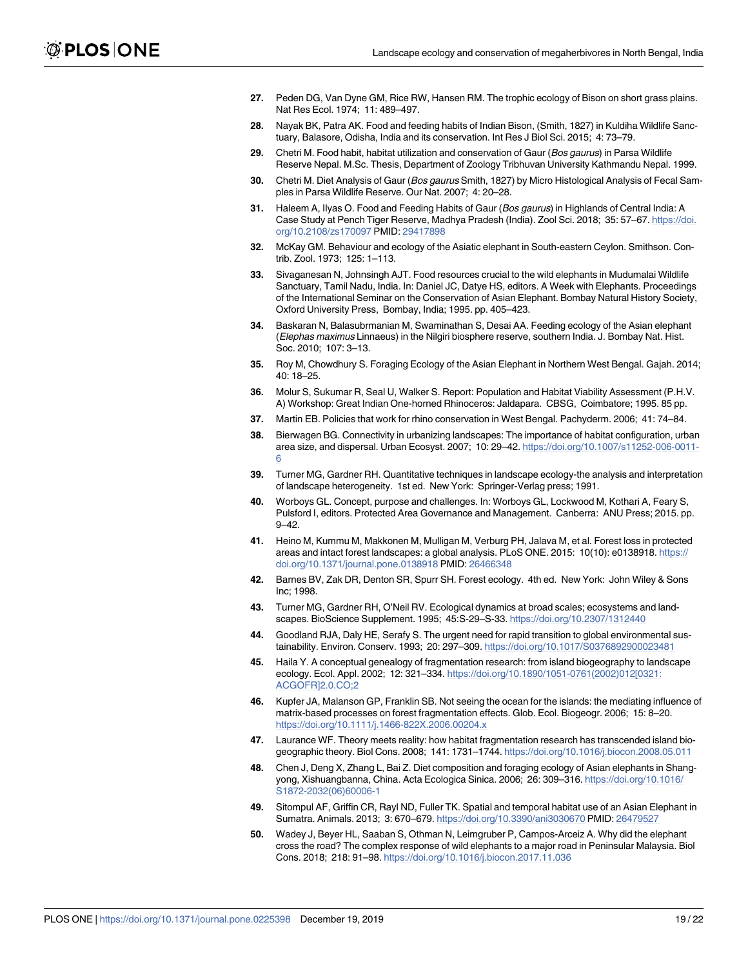- <span id="page-18-0"></span>**[27.](#page-1-0)** Peden DG, Van Dyne GM, Rice RW, Hansen RM. The trophic ecology of Bison on short grass plains. Nat Res Ecol. 1974; 11: 489–497.
- **[28.](#page-4-0)** Nayak BK, Patra AK. Food and feeding habits of Indian Bison, (Smith, 1827) in Kuldiha Wildlife Sanctuary, Balasore, Odisha, India and its conservation. Int Res J Biol Sci. 2015; 4: 73–79.
- **[29.](#page-4-0)** Chetri M. Food habit, habitat utilization and conservation of Gaur (Bos gaurus) in Parsa Wildlife Reserve Nepal. M.Sc. Thesis, Department of Zoology Tribhuvan University Kathmandu Nepal. 1999.
- **30.** Chetri M. Diet Analysis of Gaur (Bos gaurus Smith, 1827) by Micro Histological Analysis of Fecal Samples in Parsa Wildlife Reserve. Our Nat. 2007; 4: 20–28.
- **[31.](#page-1-0)** Haleem A, Ilyas O. Food and Feeding Habits of Gaur (Bos gaurus) in Highlands of Central India: A Case Study at Pench Tiger Reserve, Madhya Pradesh (India). Zool Sci. 2018; 35: 57–67. [https://doi.](https://doi.org/10.2108/zs170097) [org/10.2108/zs170097](https://doi.org/10.2108/zs170097) PMID: [29417898](http://www.ncbi.nlm.nih.gov/pubmed/29417898)
- **[32.](#page-1-0)** McKay GM. Behaviour and ecology of the Asiatic elephant in South-eastern Ceylon. Smithson. Contrib. Zool. 1973; 125: 1–113.
- **33.** Sivaganesan N, Johnsingh AJT. Food resources crucial to the wild elephants in Mudumalai Wildlife Sanctuary, Tamil Nadu, India. In: Daniel JC, Datye HS, editors. A Week with Elephants. Proceedings of the International Seminar on the Conservation of Asian Elephant. Bombay Natural History Society, Oxford University Press, Bombay, India; 1995. pp. 405–423.
- **34.** Baskaran N, Balasubrmanian M, Swaminathan S, Desai AA. Feeding ecology of the Asian elephant (Elephas maximus Linnaeus) in the Nilgiri biosphere reserve, southern India. J. Bombay Nat. Hist. Soc. 2010; 107: 3–13.
- **[35.](#page-1-0)** Roy M, Chowdhury S. Foraging Ecology of the Asian Elephant in Northern West Bengal. Gajah. 2014; 40: 18–25.
- **[36.](#page-1-0)** Molur S, Sukumar R, Seal U, Walker S. Report: Population and Habitat Viability Assessment (P.H.V. A) Workshop: Great Indian One-horned Rhinoceros: Jaldapara. CBSG, Coimbatore; 1995. 85 pp.
- **[37.](#page-1-0)** Martin EB. Policies that work for rhino conservation in West Bengal. Pachyderm. 2006; 41: 74–84.
- **[38.](#page-2-0)** Bierwagen BG. Connectivity in urbanizing landscapes: The importance of habitat configuration, urban area size, and dispersal. Urban Ecosyst. 2007; 10: 29–42. [https://doi.org/10.1007/s11252-006-0011-](https://doi.org/10.1007/s11252-006-0011-6) [6](https://doi.org/10.1007/s11252-006-0011-6)
- **[39.](#page-2-0)** Turner MG, Gardner RH. Quantitative techniques in landscape ecology-the analysis and interpretation of landscape heterogeneity. 1st ed. New York: Springer-Verlag press; 1991.
- **[40.](#page-2-0)** Worboys GL. Concept, purpose and challenges. In: Worboys GL, Lockwood M, Kothari A, Feary S, Pulsford I, editors. Protected Area Governance and Management. Canberra: ANU Press; 2015. pp. 9–42.
- **[41.](#page-2-0)** Heino M, Kummu M, Makkonen M, Mulligan M, Verburg PH, Jalava M, et al. Forest loss in protected areas and intact forest landscapes: a global analysis. PLoS ONE. 2015: 10(10): e0138918. [https://](https://doi.org/10.1371/journal.pone.0138918) [doi.org/10.1371/journal.pone.0138918](https://doi.org/10.1371/journal.pone.0138918) PMID: [26466348](http://www.ncbi.nlm.nih.gov/pubmed/26466348)
- **[42.](#page-2-0)** Barnes BV, Zak DR, Denton SR, Spurr SH. Forest ecology. 4th ed. New York: John Wiley & Sons Inc; 1998.
- **[43.](#page-2-0)** Turner MG, Gardner RH, O'Neil RV. Ecological dynamics at broad scales; ecosystems and landscapes. BioScience Supplement. 1995; 45:S-29–S-33. <https://doi.org/10.2307/1312440>
- **[44.](#page-2-0)** Goodland RJA, Daly HE, Serafy S. The urgent need for rapid transition to global environmental sustainability. Environ. Conserv. 1993; 20: 297–309. <https://doi.org/10.1017/S0376892900023481>
- **[45.](#page-2-0)** Haila Y. A conceptual genealogy of fragmentation research: from island biogeography to landscape ecology. Ecol. Appl. 2002; 12: 321–334. [https://doi.org/10.1890/1051-0761\(2002\)012\[0321:](https://doi.org/10.1890/1051-0761(2002)012[0321:ACGOFR]2.0.CO;2) [ACGOFR\]2.0.CO;2](https://doi.org/10.1890/1051-0761(2002)012[0321:ACGOFR]2.0.CO;2)
- **[46.](#page-2-0)** Kupfer JA, Malanson GP, Franklin SB. Not seeing the ocean for the islands: the mediating influence of matrix-based processes on forest fragmentation effects. Glob. Ecol. Biogeogr. 2006; 15: 8–20. <https://doi.org/10.1111/j.1466-822X.2006.00204.x>
- **[47.](#page-2-0)** Laurance WF. Theory meets reality: how habitat fragmentation research has transcended island biogeographic theory. Biol Cons. 2008; 141: 1731–1744. <https://doi.org/10.1016/j.biocon.2008.05.011>
- **[48.](#page-2-0)** Chen J, Deng X, Zhang L, Bai Z. Diet composition and foraging ecology of Asian elephants in Shangyong, Xishuangbanna, China. Acta Ecologica Sinica. 2006; 26: 309–316. [https://doi.org/10.1016/](https://doi.org/10.1016/S1872-2032(06)60006-1) [S1872-2032\(06\)60006-1](https://doi.org/10.1016/S1872-2032(06)60006-1)
- **49.** Sitompul AF, Griffin CR, Rayl ND, Fuller TK. Spatial and temporal habitat use of an Asian Elephant in Sumatra. Animals. 2013; 3: 670-679. <https://doi.org/10.3390/ani3030670> PMID: [26479527](http://www.ncbi.nlm.nih.gov/pubmed/26479527)
- **[50.](#page-11-0)** Wadey J, Beyer HL, Saaban S, Othman N, Leimgruber P, Campos-Arceiz A. Why did the elephant cross the road? The complex response of wild elephants to a major road in Peninsular Malaysia. Biol Cons. 2018; 218: 91–98. <https://doi.org/10.1016/j.biocon.2017.11.036>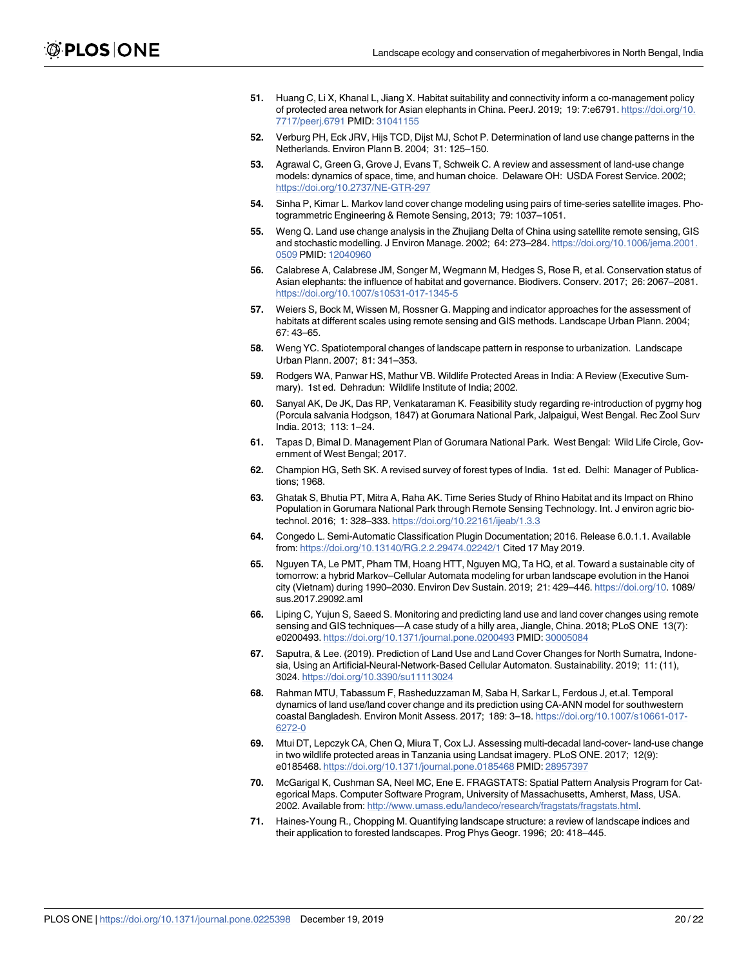- <span id="page-19-0"></span>**[51.](#page-2-0)** Huang C, Li X, Khanal L, Jiang X. Habitat suitability and connectivity inform a co-management policy of protected area network for Asian elephants in China. PeerJ. 2019; 19: 7:e6791. [https://doi.org/10.](https://doi.org/10.7717/peerj.6791) [7717/peerj.6791](https://doi.org/10.7717/peerj.6791) PMID: [31041155](http://www.ncbi.nlm.nih.gov/pubmed/31041155)
- **[52.](#page-2-0)** Verburg PH, Eck JRV, Hijs TCD, Dijst MJ, Schot P. Determination of land use change patterns in the Netherlands. Environ Plann B. 2004; 31: 125–150.
- **[53.](#page-2-0)** Agrawal C, Green G, Grove J, Evans T, Schweik C. A review and assessment of land-use change models: dynamics of space, time, and human choice. Delaware OH: USDA Forest Service. 2002; <https://doi.org/10.2737/NE-GTR-297>
- **[54.](#page-2-0)** Sinha P, Kimar L. Markov land cover change modeling using pairs of time-series satellite images. Photogrammetric Engineering & Remote Sensing, 2013; 79: 1037–1051.
- **[55.](#page-2-0)** Weng Q. Land use change analysis in the Zhujiang Delta of China using satellite remote sensing, GIS and stochastic modelling. J Environ Manage. 2002; 64: 273–284. [https://doi.org/10.1006/jema.2001.](https://doi.org/10.1006/jema.2001.0509) [0509](https://doi.org/10.1006/jema.2001.0509) PMID: [12040960](http://www.ncbi.nlm.nih.gov/pubmed/12040960)
- **[56.](#page-2-0)** Calabrese A, Calabrese JM, Songer M, Wegmann M, Hedges S, Rose R, et al. Conservation status of Asian elephants: the influence of habitat and governance. Biodivers. Conserv. 2017; 26: 2067–2081. <https://doi.org/10.1007/s10531-017-1345-5>
- **57.** Weiers S, Bock M, Wissen M, Rossner G. Mapping and indicator approaches for the assessment of habitats at different scales using remote sensing and GIS methods. Landscape Urban Plann. 2004; 67: 43–65.
- **[58.](#page-2-0)** Weng YC. Spatiotemporal changes of landscape pattern in response to urbanization. Landscape Urban Plann. 2007; 81: 341–353.
- **[59.](#page-2-0)** Rodgers WA, Panwar HS, Mathur VB. Wildlife Protected Areas in India: A Review (Executive Summary). 1st ed. Dehradun: Wildlife Institute of India; 2002.
- **[60.](#page-3-0)** Sanyal AK, De JK, Das RP, Venkataraman K. Feasibility study regarding re-introduction of pygmy hog (Porcula salvania Hodgson, 1847) at Gorumara National Park, Jalpaigui, West Bengal. Rec Zool Surv India. 2013; 113: 1–24.
- **[61.](#page-3-0)** Tapas D, Bimal D. Management Plan of Gorumara National Park. West Bengal: Wild Life Circle, Government of West Bengal; 2017.
- **[62.](#page-3-0)** Champion HG, Seth SK. A revised survey of forest types of India. 1st ed. Delhi: Manager of Publications; 1968.
- **[63.](#page-3-0)** Ghatak S, Bhutia PT, Mitra A, Raha AK. Time Series Study of Rhino Habitat and its Impact on Rhino Population in Gorumara National Park through Remote Sensing Technology. Int. J environ agric biotechnol. 2016; 1: 328–333. <https://doi.org/10.22161/ijeab/1.3.3>
- **[64.](#page-4-0)** Congedo L. Semi-Automatic Classification Plugin Documentation; 2016. Release 6.0.1.1. Available from: <https://doi.org/10.13140/RG.2.2.29474.02242/1> Cited 17 May 2019.
- **[65.](#page-4-0)** Nguyen TA, Le PMT, Pham TM, Hoang HTT, Nguyen MQ, Ta HQ, et al. Toward a sustainable city of tomorrow: a hybrid Markov–Cellular Automata modeling for urban landscape evolution in the Hanoi city (Vietnam) during 1990–2030. Environ Dev Sustain. 2019; 21: 429–446. <https://doi.org/10>. 1089/ sus.2017.29092.aml
- **66.** Liping C, Yujun S, Saeed S. Monitoring and predicting land use and land cover changes using remote sensing and GIS techniques—A case study of a hilly area, Jiangle, China. 2018; PLoS ONE 13(7): e0200493. <https://doi.org/10.1371/journal.pone.0200493> PMID: [30005084](http://www.ncbi.nlm.nih.gov/pubmed/30005084)
- **[67.](#page-4-0)** Saputra, & Lee. (2019). Prediction of Land Use and Land Cover Changes for North Sumatra, Indonesia, Using an Artificial-Neural-Network-Based Cellular Automaton. Sustainability. 2019; 11: (11), 3024. <https://doi.org/10.3390/su11113024>
- **[68.](#page-4-0)** Rahman MTU, Tabassum F, Rasheduzzaman M, Saba H, Sarkar L, Ferdous J, et.al. Temporal dynamics of land use/land cover change and its prediction using CA-ANN model for southwestern coastal Bangladesh. Environ Monit Assess. 2017; 189: 3–18. [https://doi.org/10.1007/s10661-017-](https://doi.org/10.1007/s10661-017-6272-0) [6272-0](https://doi.org/10.1007/s10661-017-6272-0)
- **[69.](#page-4-0)** Mtui DT, Lepczyk CA, Chen Q, Miura T, Cox LJ. Assessing multi-decadal land-cover- land-use change in two wildlife protected areas in Tanzania using Landsat imagery. PLoS ONE. 2017; 12(9): e0185468. <https://doi.org/10.1371/journal.pone.0185468> PMID: [28957397](http://www.ncbi.nlm.nih.gov/pubmed/28957397)
- **[70.](#page-5-0)** McGarigal K, Cushman SA, Neel MC, Ene E. FRAGSTATS: Spatial Pattern Analysis Program for Categorical Maps. Computer Software Program, University of Massachusetts, Amherst, Mass, USA. 2002. Available from: [http://www.umass.edu/landeco/research/fragstats/fragstats.html.](http://www.umass.edu/landeco/research/fragstats/fragstats.html)
- **[71.](#page-5-0)** Haines-Young R., Chopping M. Quantifying landscape structure: a review of landscape indices and their application to forested landscapes. Prog Phys Geogr. 1996; 20: 418–445.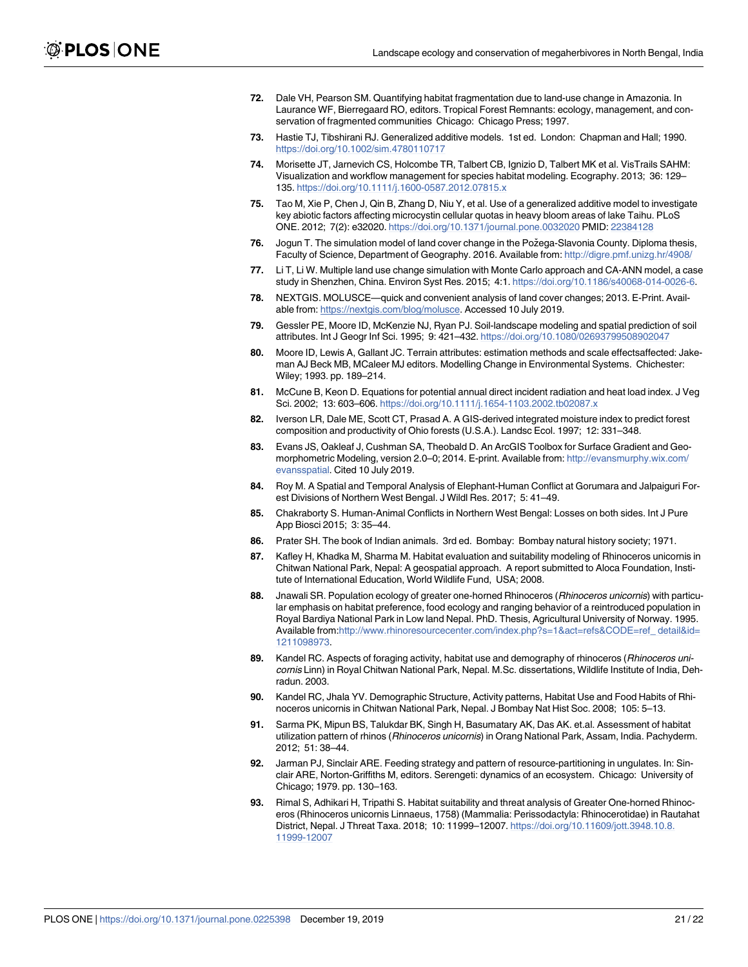- <span id="page-20-0"></span>**[72.](#page-5-0)** Dale VH, Pearson SM. Quantifying habitat fragmentation due to land-use change in Amazonia. In Laurance WF, Bierregaard RO, editors. Tropical Forest Remnants: ecology, management, and conservation of fragmented communities Chicago: Chicago Press; 1997.
- **[73.](#page-5-0)** Hastie TJ, Tibshirani RJ. Generalized additive models. 1st ed. London: Chapman and Hall; 1990. <https://doi.org/10.1002/sim.4780110717>
- **[74.](#page-5-0)** Morisette JT, Jarnevich CS, Holcombe TR, Talbert CB, Ignizio D, Talbert MK et al. VisTrails SAHM: Visualization and workflow management for species habitat modeling. Ecography. 2013; 36: 129– 135. <https://doi.org/10.1111/j.1600-0587.2012.07815.x>
- **[75.](#page-5-0)** Tao M, Xie P, Chen J, Qin B, Zhang D, Niu Y, et al. Use of a generalized additive model to investigate key abiotic factors affecting microcystin cellular quotas in heavy bloom areas of lake Taihu. PLoS ONE. 2012; 7(2): e32020. <https://doi.org/10.1371/journal.pone.0032020> PMID: [22384128](http://www.ncbi.nlm.nih.gov/pubmed/22384128)
- [76.](#page-5-0) Jogun T. The simulation model of land cover change in the Požega-Slavonia County. Diploma thesis, Faculty of Science, Department of Geography. 2016. Available from: <http://digre.pmf.unizg.hr/4908/>
- **[77.](#page-5-0)** Li T, Li W. Multiple land use change simulation with Monte Carlo approach and CA-ANN model, a case study in Shenzhen, China. Environ Syst Res. 2015; 4:1. [https://doi.org/10.1186/s40068-014-0026-6.](https://doi.org/10.1186/s40068-014-0026-6)
- **[78.](#page-5-0)** NEXTGIS. MOLUSCE—quick and convenient analysis of land cover changes; 2013. E-Print. Available from: <https://nextgis.com/blog/molusce>. Accessed 10 July 2019.
- **[79.](#page-5-0)** Gessler PE, Moore ID, McKenzie NJ, Ryan PJ. Soil-landscape modeling and spatial prediction of soil attributes. Int J Geogr Inf Sci. 1995; 9: 421–432. <https://doi.org/10.1080/02693799508902047>
- **[80.](#page-5-0)** Moore ID, Lewis A, Gallant JC. Terrain attributes: estimation methods and scale effectsaffected: Jakeman AJ Beck MB, MCaleer MJ editors. Modelling Change in Environmental Systems. Chichester: Wiley; 1993. pp. 189–214.
- **[81.](#page-5-0)** McCune B, Keon D. Equations for potential annual direct incident radiation and heat load index. J Veg Sci. 2002; 13: 603–606. <https://doi.org/10.1111/j.1654-1103.2002.tb02087.x>
- **[82.](#page-5-0)** Iverson LR, Dale ME, Scott CT, Prasad A. A GIS-derived integrated moisture index to predict forest composition and productivity of Ohio forests (U.S.A.). Landsc Ecol. 1997; 12: 331–348.
- **[83.](#page-5-0)** Evans JS, Oakleaf J, Cushman SA, Theobald D. An ArcGIS Toolbox for Surface Gradient and Geomorphometric Modeling, version 2.0–0; 2014. E-print. Available from: [http://evansmurphy.wix.com/](http://evansmurphy.wix.com/evansspatial) [evansspatial.](http://evansmurphy.wix.com/evansspatial) Cited 10 July 2019.
- **[84.](#page-9-0)** Roy M. A Spatial and Temporal Analysis of Elephant-Human Conflict at Gorumara and Jalpaiguri Forest Divisions of Northern West Bengal. J Wildl Res. 2017; 5: 41–49.
- **[85.](#page-9-0)** Chakraborty S. Human-Animal Conflicts in Northern West Bengal: Losses on both sides. Int J Pure App Biosci 2015; 3: 35–44.
- **[86.](#page-11-0)** Prater SH. The book of Indian animals. 3rd ed. Bombay: Bombay natural history society; 1971.
- **87.** Kafley H, Khadka M, Sharma M. Habitat evaluation and suitability modeling of Rhinoceros unicornis in Chitwan National Park, Nepal: A geospatial approach. A report submitted to Aloca Foundation, Institute of International Education, World Wildlife Fund, USA; 2008.
- **88.** Jnawali SR. Population ecology of greater one-horned Rhinoceros (Rhinoceros unicornis) with particular emphasis on habitat preference, food ecology and ranging behavior of a reintroduced population in Royal Bardiya National Park in Low land Nepal. PhD. Thesis, Agricultural University of Norway. 1995. Available from:[http://www.rhinoresourcecenter.com/index.php?s=1&act=refs&CODE=ref\\_ detail&id=](http://www.rhinoresourcecenter.com/index.php?s=1&act=refs&CODE=ref_ detail&id=1211098973) [1211098973.](http://www.rhinoresourcecenter.com/index.php?s=1&act=refs&CODE=ref_ detail&id=1211098973)
- **89.** Kandel RC. Aspects of foraging activity, habitat use and demography of rhinoceros (Rhinoceros unicornis Linn) in Royal Chitwan National Park, Nepal. M.Sc. dissertations, Wildlife Institute of India, Dehradun. 2003.
- **[90.](#page-11-0)** Kandel RC, Jhala YV. Demographic Structure, Activity patterns, Habitat Use and Food Habits of Rhinoceros unicornis in Chitwan National Park, Nepal. J Bombay Nat Hist Soc. 2008; 105: 5–13.
- **[91.](#page-11-0)** Sarma PK, Mipun BS, Talukdar BK, Singh H, Basumatary AK, Das AK. et.al. Assessment of habitat utilization pattern of rhinos (Rhinoceros unicornis) in Orang National Park, Assam, India. Pachyderm. 2012; 51: 38–44.
- **[92.](#page-11-0)** Jarman PJ, Sinclair ARE. Feeding strategy and pattern of resource-partitioning in ungulates. In: Sinclair ARE, Norton-Griffiths M, editors. Serengeti: dynamics of an ecosystem. Chicago: University of Chicago; 1979. pp. 130–163.
- **[93.](#page-11-0)** Rimal S, Adhikari H, Tripathi S. Habitat suitability and threat analysis of Greater One-horned Rhinoceros (Rhinoceros unicornis Linnaeus, 1758) (Mammalia: Perissodactyla: Rhinocerotidae) in Rautahat District, Nepal. J Threat Taxa. 2018; 10: 11999–12007. [https://doi.org/10.11609/jott.3948.10.8.](https://doi.org/10.11609/jott.3948.10.8.11999-12007) [11999-12007](https://doi.org/10.11609/jott.3948.10.8.11999-12007)